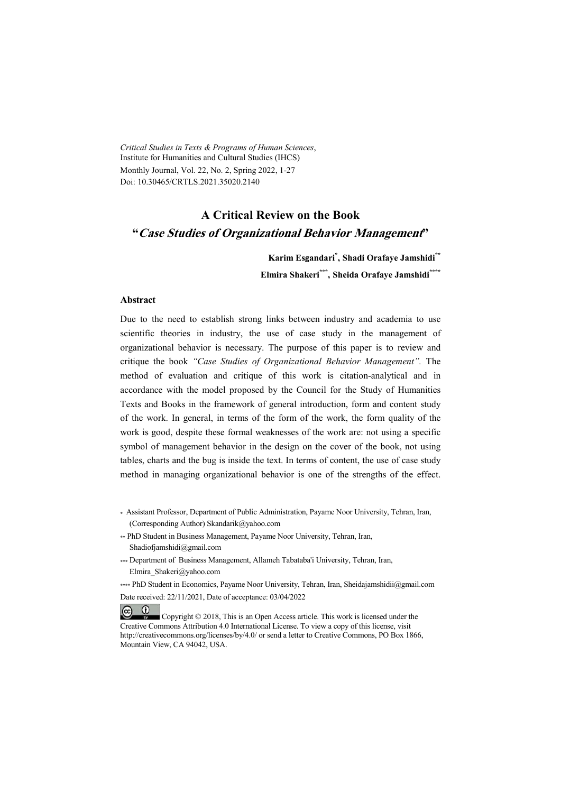*Critical Studies in Texts & Programs of Human Sciences*, Institute for Humanities and Cultural Studies (IHCS) Monthly Journal, Vol. 22, No. 2, Spring 2022, 1-27 Doi: 10.30465/CRTLS.2021.35020.2140

# **A Critical Review on the Book "Case Studies of Organizational Behavior Management"**

**Karim Esgandari\* , Shadi Orafaye Jamshidi\*\* Elmira Shakeri\*\*\* , Sheida Orafaye Jamshidi\*\*\*\***

#### **Abstract**

Due to the need to establish strong links between industry and academia to use scientific theories in industry, the use of case study in the management of organizational behavior is necessary. The purpose of this paper is to review and critique the book *"Case Studies of Organizational Behavior Management".* The method of evaluation and critique of this work is citation-analytical and in accordance with the model proposed by the Council for the Study of Humanities Texts and Books in the framework of general introduction, form and content study of the work. In general, in terms of the form of the work, the form quality of the work is good, despite these formal weaknesses of the work are: not using a specific symbol of management behavior in the design on the cover of the book, not using tables, charts and the bug is inside the text. In terms of content, the use of case study method in managing organizational behavior is one of the strengths of the effect.

- \* Assistant Professor, Department of Public Administration, Payame Noor University, Tehran, Iran, (Corresponding Author) Skandarik@yahoo.com
- \*\* PhD Student in Business Management, Payame Noor University, Tehran, Iran, Shadiofjamshidi@gmail.com
- \*\*\* Department of Business Management, Allameh Tabataba'i University, Tehran, Iran, Elmira\_Shakeri@yahoo.com
- \*\*\*\* PhD Student in Economics, Payame Noor University, Tehran, Iran, Sheidajamshidii@gmail.com Date received: 22/11/2021, Date of acceptance: 03/04/2022

 $(cc)$  $\ddot{\mathbf{u}}$  Copyright © 2018, This is an Open Access article. This work is licensed under the Creative Commons Attribution 4.0 International License. To view a copy of this license, visit http://creativecommons.org/licenses/by/4.0/ or send a letter to Creative Commons, PO Box 1866, Mountain View, CA 94042, USA.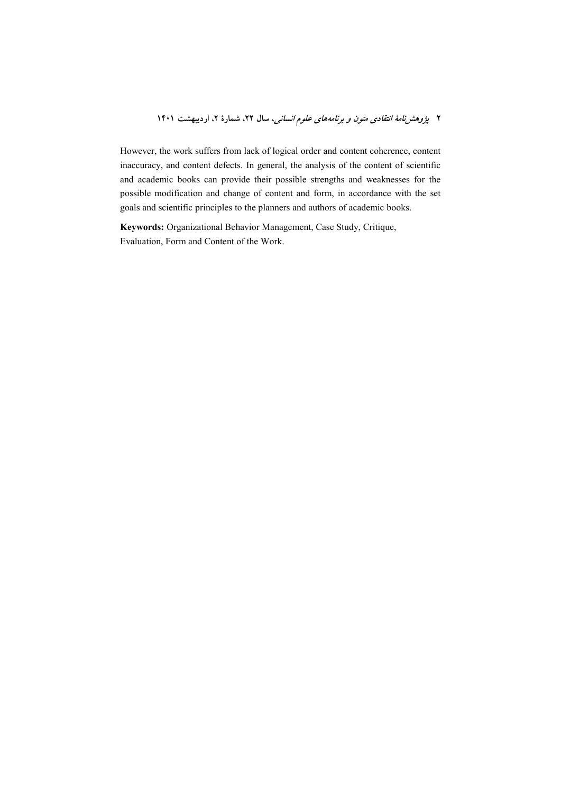However, the work suffers from lack of logical order and content coherence, content inaccuracy, and content defects. In general, the analysis of the content of scientific and academic books can provide their possible strengths and weaknesses for the possible modification and change of content and form, in accordance with the set goals and scientific principles to the planners and authors of academic books.

Keywords: Organizational Behavior Management, Case Study, Critique, Evaluation, Form and Content of the Work.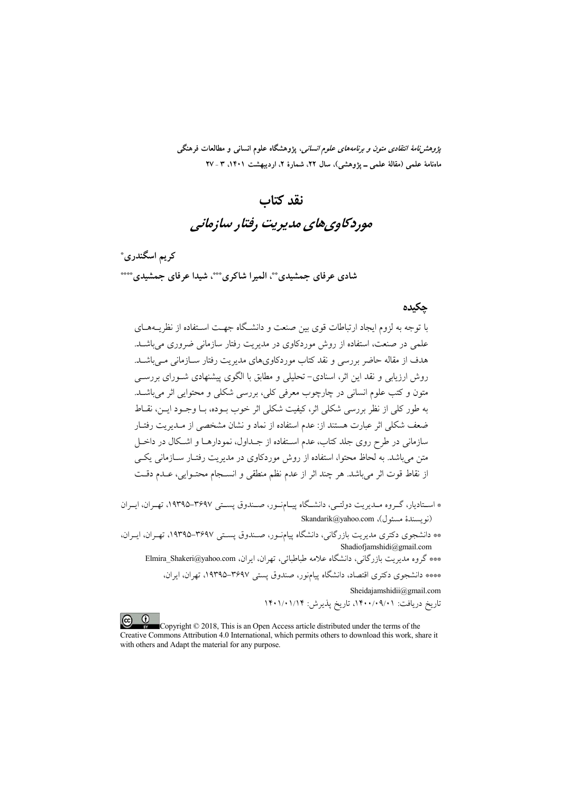*پژوهشنامهٔ انتقادی متون و برنامههای علوم انسانی،* پژوهشگاه علوم انسانی و مطالعات فرهنگی ماهنامهٔ علمی (مقالهٔ علمی ـ پژوهشی)، سال ۲۲، شمارهٔ ۲، اردیبهشت ۱۴۰۱، ۳ ـ ۲۷

# نقد كتاب موردکاوي هاي مديريت رفتار سازماني

کريم اسگندري\* شادي عرفاي جمشيدي ٌ "، المبرا شاكري ٌ ""، شيدا عرفاي جمشيدي ٌ ""

### حكىدە

با توجه به لزوم ایجاد ارتباطات قوی بین صنعت و دانشگاه جهت اسـتفاده از نظریــههــای علمی در صنعت، استفاده از روش موردکاوی در مدیریت رفتار سازمانی ضروری می باشـد. هدف از مقاله حاضر بررسی و نقد کتاب موردکاویهای مدیریت رفتار سـازمانی مـیباشـد. روش ارزیابی و نقد این اثر، اسنادی- تحلیلی و مطابق با الگوی پیشنهادی شـورای بررسـی متون و کتب علوم انسانی در چارچوب معرفی کلی، بررسی شکلی و محتوایی اثر می باشـد. به طور كلي از نظر بررسي شكلي اثر، كيفيت شكلي اثر خوب بـوده، بـا وجـود ايـن، نقــاط ضعف شکلی اثر عبارت هستند از: عدم استفاده از نماد و نشان مشخصی از مـدیریت رفتـار سازمانی در طرح روی جلد کتاب، عدم استفاده از جــداول، نمودارهــا و اشــکال در داخــل متن می باشد. به لحاظ محتوا، استفاده از روش موردکاوی در مدیریت رفتـار سـازمانی یکـی از نقاط قوت اثر مي باشد. هر چند اثر از عدم نظم منطقى و انسـجام محتـوايي، عـدم دقـت

- \* استادیار، گـروه مـدیریت دولتـی، دانشـگاه پیـامنـور، صـندوق پسـتی ۳۶۹۷–۱۹۳۹۵، تهـران، ایـران (نويسندهٔ مسئول)، Skandarik@yahoo.com
- \*\* دانشجوی دکتری مدیریت بازرگانی، دانشگاه پیامنور، صـندوق یسـتی ۳۶۹۷–۱۹۳۹۵، تهـران، ایـران، Shadiofjamshidi@gmail.com

\*\*\* گروه مدیریت بازرگانی، دانشگاه علامه طباطبائی، تهران، ایران، Elmira\_Shakeri@yahoo.com \*\*\* دانشجوی دکتری اقتصاد، دانشگاه پیامنور، صندوق یستی ۳۶۹۷–۱۹۳۹، تهران، ایران،

Sheidajamshidii@gmail.com

تاریخ دریافت: ۰/۰۹/۰۹/۰۹/۱ تاریخ پذیرش: ۱۴۰۱/۰۱/۱۴

 $\odot$ Copyright © 2018, This is an Open Access article distributed under the terms of the Creative Commons Attribution 4.0 International, which permits others to download this work, share it with others and Adapt the material for any purpose.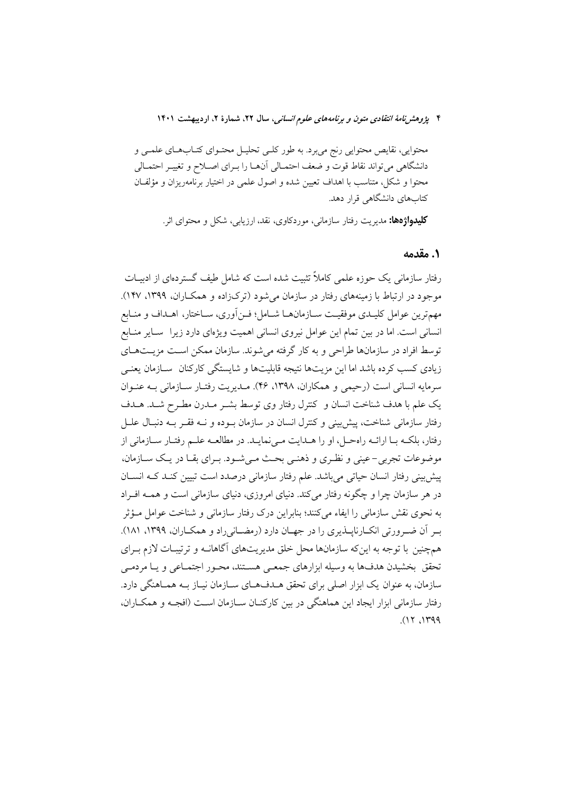محتوایی، نقایص محتوایی رنج میبرد. به طور کلـی تحلیـل محتـوای کتـابهـای علمـی و دانشگاهی میتواند نقاط قوت و ضعف احتمـالی آنهـا را بـرای اصـلاح و تغییـر احتمـالی محتوا و شکل، متناسب با اهداف تعیین شده و اصول علمی در اختیار برنامهریزان و مؤلفان کتابهای دانشگاهی قرار دهد.

**کلیدواژهها:** مدیریت رفتار سازمانی، موردکاوی، نقد، ارزیابی، شکل و محتوای اثر.

### ٠. مقدمه

رفتار سازمانی یک حوزه علمی کاملاً تثبیت شده است که شامل طیف گستردهای از ادبیـات موجود در ارتباط با زمینههای رفتار در سازمان می شود (ترک(اده و همکــاران، ۱۳۹۹، ۱۴۷). مهمترين عوامل كليـدي موفقيـت ســازمانهــا شــامل؛ فــنأوري، ســاختار، اهــداف و منــابع انسانی است. اما در بین تمام این عوامل نیروی انسانی اهمیت ویژهای دارد زیرا سایر منابع توسط افراد در سازمانها طراحی و به کار گرفته می شوند. سازمان ممکن است مزیـتهـای زیادی کسب کرده باشد اما این مزیتها نتیجه قابلیتها و شایستگی کارکنان ً سـازمان یعنـی سرمايه انساني است (رحيمي و همكاران، ١٣٩٨، ٢۶). مــديويت رفتــار ســازماني بــه عنــوان یک علم با هدف شناخت انسان و کنترل رفتار وی توسط بشـر مـدرن مطـرح شـد. هـدف رفتار سازمانی شناخت، پیش بینی و کنترل انسان در سازمان بوده و نــه فقـر بــه دنبـال علــل رفتار، بلکـه بـا ارائـه راهحـل، او را هـدايت مـىiمايـد. در مطالعـه علـم رفتـار سـازمانى از موضوعات تجربي – عيني و نظـري و ذهنـي بحـث مـي شـود. بـراي بقـا در يـک سـازمان، ييش بيني رفتار انسان حياتي مي باشد. علم رفتار سازماني درصدد است تبيين كنـد كـه انســان در هر سازمان چرا و چگونه رفتار می کند. دنیای امروزی، دنیای سازمانی است و همــه افــراد به نحوی نقش سازمانی را ایفاء میکنند؛ بنابراین درک رفتار سازمانی و شناخت عوامل مـؤثر ب آن ضیرورتی انکبارناپیذیری را در جهیان دارد (رمضیانی راد و همکباران، ۱۳۹۹، ۱۸۱). همچنین با توجه به اینکه سازمانها محل خلق مدیریتهای آگاهانــه و ترتیبــات لازم بــرای .<br>تحقق بخشیدن هدفها به وسیله ابزارهای جمعـی هسـتند، محـور اجتمـاعی و یــا مردمـی سازمان، به عنوان یک ابزار اصلی برای تحقق هــدفهـای ســازمان نیــاز بــه همــاهنگی دارد. رفتار سازمانی ابزار ایجاد این هماهنگی در بین کارکنـان ســازمان اسـت (افجـه و همکــاران،  $(17.149)$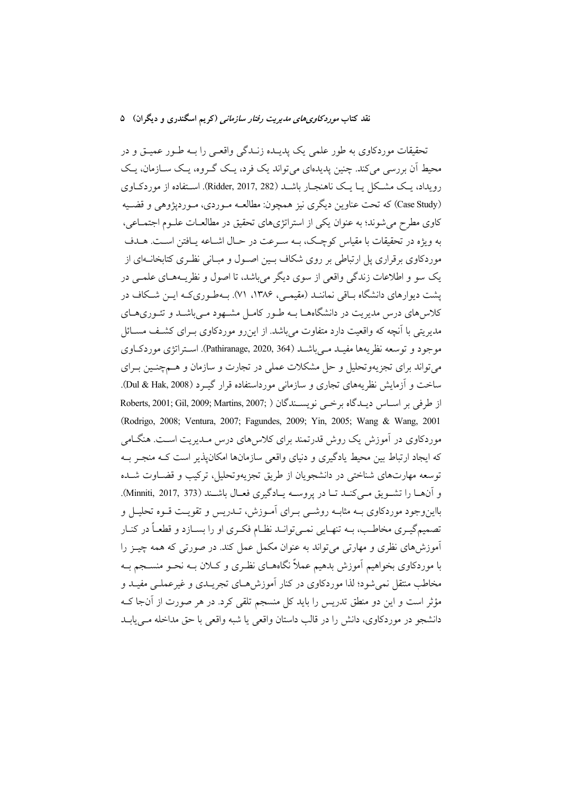#### نقد کتاب *موردکاویهای مدیریت رفتار سازمانی* (کریم اسگندری و دیگران) ۵

نحقیقات موردکاوی به طور علمی یک پدیــده زنــدگی واقعــی را بــه طــور عمیــق و در محیط اّن بررسی میکند. چنین یدیدهای می تواند یک فرد، یـک گـروه، یـک سـازمان، یـک رویداد، یک مشکل یـا یـک ناهنجـار باشــد (Ridder, 2017, 282). اســتفاده از موردکــاوی (Case Study) که تحت عناوین دیگری نیز همچون: مطالعـه مـوردی، مـوردپژوهی و قضـیه کاوی مطرح میشوند؛ به عنوان یکی از استراتژیهای تحقیق در مطالعـات علــوم اجتمــاعی، به ویژه در تحقیقات با مقیاس کوچک، بــه سـرعت در حــال اشــاعه یــافتن اســت. هــدف موردکاوی برقراری پل ارتباطی بر روی شکاف بــین اصــول و مبــانی نظـری کتابخانــهای از یک سو و اطلاعات زندگی واقعی از سوی دیگر میباشد. تا اصول و نظریــههــای علمــی در پشت دیوارهای دانشگاه بــاقی نماننــد (مقیمــی، ۱۳۸۶، ۷۱). بــهطــوری<code>کـه ایــن شــکاف در</sup></code> کلاسهای درس مدیریت در دانشگاههـا بــه طـور کامـل مشــهود مـیباشــد و تئــوریهــای مدیریتی با انچه که واقعیت دارد متفاوت میباشد. از اینرو موردکاوی بــرای کشــف مســائل موجود و توسعه نظریهها مفیــد مــیباشــد (Pathiranage, 2020, 364). اســتراتژی موردکــاوی میتواند برای تجزیهوتحلیل و حل مشکلات عملی در تجارت و سازمان و هــمچنــین بــرای ساخت و ازمایش نظریههای تجاری و سازمانی مورداستفاده قرار گیــرد (Dul & Hak, 2008). Roberts, 2001; Gil, 2009; Martins, 2007; ) از طرفی بر اسـاس دیـدگاه برخــی نویسـندگان (Rodrigo, 2008; Ventura, 2007; Fagundes, 2009; Yin, 2005; Wang & Wang, 2001 موردکاوی در آموزش یک روش قدرتمند برای کلاس های درس مـدیریت اسـت. هنگــامی که ایجاد ارتباط بین محیط یادگیری و دنیای واقعی سازمانها امکانپذیر است کـه منجـر بــه توسعه مهارتهای شناختی در دانشجویان از طریق تجزیهوتحلیل، ترکیب و قضــاوت شــده و انهــا را تشــويق مــىكنــد تــا در پروســه يــادگيرى فعــال باشــند (Minniti, 2017, 373). بااینوجود موردکاوی بــه مثابــه روشــی بــرای امــوزش، تــدریس و تقویــت قــوه تحلیــل و تصمیم گیــری مخاطــب، بــه تنهــایی نمــیتوانــد نظــام فکــری او را بســازد و قطعــا در کنــار اموزشهای نظری و مهارتی میتواند به عنوان مکمل عمل کند. در صورتی که همه چیــز را با موردکاوی بخواهیم اموزش بدهیم عملا نگاههــای نظـری و کــلان بــه نحــو منســجم بــه مخاطب منتقل نمی شود؛ لذا موردکاوی در کنار آموزش هــای تجریــدی و غیرعملــی مفیــد و مؤثر است و این دو منطق تدریس را باید کل منسجم تلقی کرد. در هر صورت از انجا کــه دانشجو در موردکاوی، دانش را در قالب داستان واقعی یا شبه واقعی با حق مداخله مــیLیابــد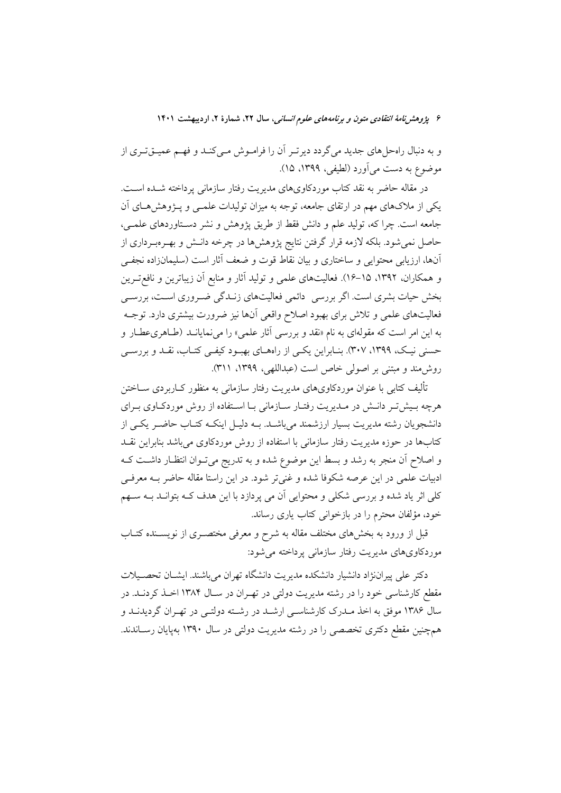و به دنبال راهحلهای جدید می گردد دیرتـر آن را فرامـوش مـیکنـد و فهـم عمیـقتـری از موضوع به دست می آورد (لطیفی، ۱۳۹۹، ۱۵).

در مقاله حاضر به نقد کتاب موردکاویهای مدیریت رفتار سازمانی پرداخته شـده اسـت. یکی از ملاکهای مهم در ارتقای جامعه، توجه به میزان تولیدات علمـی و پـژوهش۵هـای آن جامعه است. چرا که، تولید علم و دانش فقط از طریق پژوهش و نشر دســتاوردهای علمــی، حاصل نمیشود. بلکه لازمه قرار گرفتن نتایج پژوهشها در چرخه دانـش و بهـرهبـرداری از آنها، ارزیابی محتوایی و ساختاری و بیان نقاط قوت و ضعف آثار است (سلیمانزاده نجف<sub>ی</sub> و همکاران، ۱۳۹۲، ۱۵–۱۶). فعالیتهای علمی و تولید آثار و منابع آن زیباترین و نافع تـرین بخش حیات بشری است. اگر بررسی ِ دائمی فعالیتهای زنـدگی ضـروری اسـت، بررسـی فعالیتهای علمی و تلاش برای بهبود اصلاح واقعی آنها نیز ضرورت بیشتری دارد. توجـه به این امر است که مقولهای به نام «نقد و بررسی آثار علمی» را می نمایانــد (طـاهریعطـار و حسنی نیک، ۱۳۹۹، ۳۰۷). بنـابراین یکـی از راههـای بهبـود کیفـی کتـاب، نقـد و بررسـی روش مند و مبتنی بر اصولی خاص است (عبداللهی، ۱۳۹۹، ۳۱۱).

۔<br>تألیف کتابے یا عنوان موردکاویھای مدیریت رفتار سازمانی به منظور کیاربردی سیاختن هرچه بـیش تـر دانـش در مـدیریت رفتـار سـازمانی بـا اسـتفاده از روش موردكـاوی بـرای دانشجویان رشته مدیریت بسیار ارزشمند میباشـد. بــه دلیــل اینکــه کتــاب حاضــر یکــی از کتابها در حوزه مدیریت رفتار سازمانی با استفاده از روش موردکاوی میباشد بنابراین نقــد و اصلاح آن منجر به رشد و بسط این موضوع شده و به تدریج میتوان انتظـار داشـت کـه ادبیات علمی در این عرصه شکوفا شده و غنی تر شود. در این راستا مقاله حاضر بـه معرفـی کلی اثر یاد شده و بررسی شکلی و محتوایی آن می پردازد با این هدف کـه بتوانـد بـه سـهم خود، مؤلفان محترم را در بازخوانی کتاب یاری رساند.

قبل از ورود به بخشهای مختلف مقاله به شرح و معرفی مختصــری از نویســنده کتــاب موردکاویهای مدیریت رفتار سازمانی پرداخته می شود:

دکتر علی پیراننژاد دانشیار دانشکده مدیریت دانشگاه تهران میباشند. ایشــان تحصــیلات مقطع کارشناسی خود را در رشته مدیریت دولتی در تهـران در سـال ۱۳۸۴ اخـذ کردنـد. در سال ۱۳۸۶ موفق به اخذ مـدرک کارشناسـی ارشـد در رشـته دولتـی در تهـران گردیدنـد و همچنین مقطع دکتری تخصصی را در رشته مدیریت دولتی در سال ۱۳۹۰ بهپایان رسـاندند.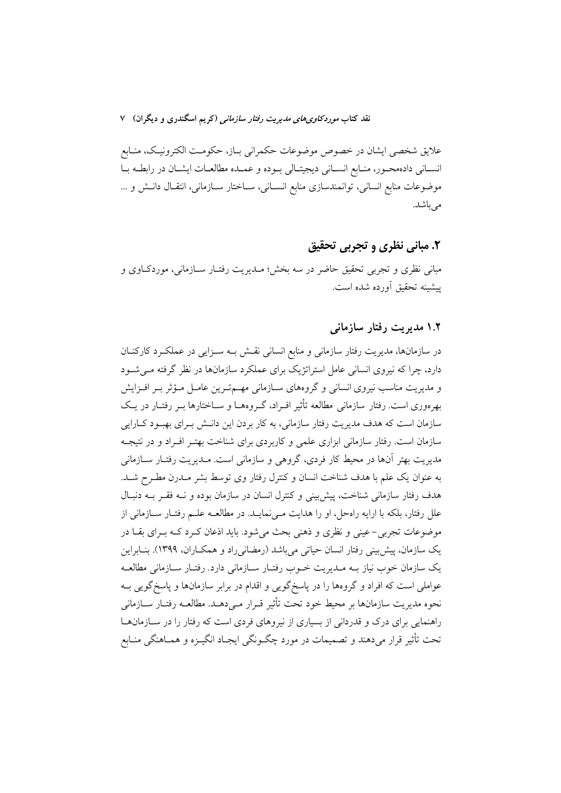علایق شخصی ایشان در خصوص موضوعات حکمرانی بـاز، حکومـت الکترونیـک، منـابع انســاني دادهمحــور، منــابع انســاني ديجيتــالي بــوده و عـمــده مطالعــات ايشــان در رابطــه بــا موضوعات منابع انسانی، توانمندسازی منابع انسـانی، سـاختار سـازمانی، انتقـال دانـش و ... می باشد.

# ۲. مبانی نظری و تجربی تحقیق

مبانی نظری و تجربی تحقیق حاضر در سه بخش؛ مـدیریت رفتـار سـازمانی، موردکـاوی و پیشینه تحقیق أورده شده است.

### ۱.۲ مدیریت رفتار سازمانی

در سازمانها، مدیریت رفتار سازمانی و منابع انسانی نقــش بــه ســزایی در عملکــرد کارکنــان دارد، چرا که نیروی انسانی عامل استراتژیک برای عملکرد سازمانها در نظر گرفته مـی شــود و مدیریت مناسب نیروی انسانی و گروههای سـازمانی مهـمترین عامـل مـؤثر بـر افـزایش بهرهوری است. رفتار سازمانی مطالعه تأثیر افـراد، گـروههـا و سـاختارها بـر رفتـار در یـک سازمان است که هدف مدیریت رفتار سازمانی، به کار بردن این دانـش بـرای بهبـود کــارایی سازمان است. رفتار سازمانی ابزاری علمی و کاربردی برای شناخت بهتـر افـراد و در نتیجـه مدیریت بهتر آنها در محیط کار فردی، گروهی و سازمانی است. مــدیریت رفتــار ســازمانی به عنوان یک علم با هدف شناخت انسان و کنترل رفتار وی توسط بشر مـدرن مطـرح شـد. هدف رفتار سازمانی شناخت، پیش بینی و کنترل انسان در سازمان بوده و نــه فقـر بــه دنبـال علل رفتار، بلكه با ارايه راهحل، او را هدايت مـي نمايــد. در مطالعــه علــم رفتــار ســازماني از موضوعات تجربي-عيني و نظري و ذهني بحث مي شود. بايد اذعان كـرد كــه بــراي بقــا در یک سازمان، پیش بینی رفتار انسان حیاتی می باشد (رمضانی راد و همکــاران، ۱۳۹۹). بنــابراین یک سازمان خوب نیاز بـه مـدیریت خـوب رفتـار سـازمانی دارد. رفتـار سـازمانی مطالعـه عواملی است که افراد و گروهها را در پاسخگویی و اقدام در برابر سازمانها و پاسخگویی بــه نحوه مديريت سازمانها بر محيط خود تحت تأثير قـرار مـي دهــد. مطالعــه رفتــار ســازماني راهنمایی برای درک و قدردانی از بسیاری از نیروهای فردی است که رفتار را در سـازمانهـا تحت تأثیر قرار میدهند و تصمیمات در مورد چگـونگی ایجـاد انگیـزه و همـاهنگی منـابع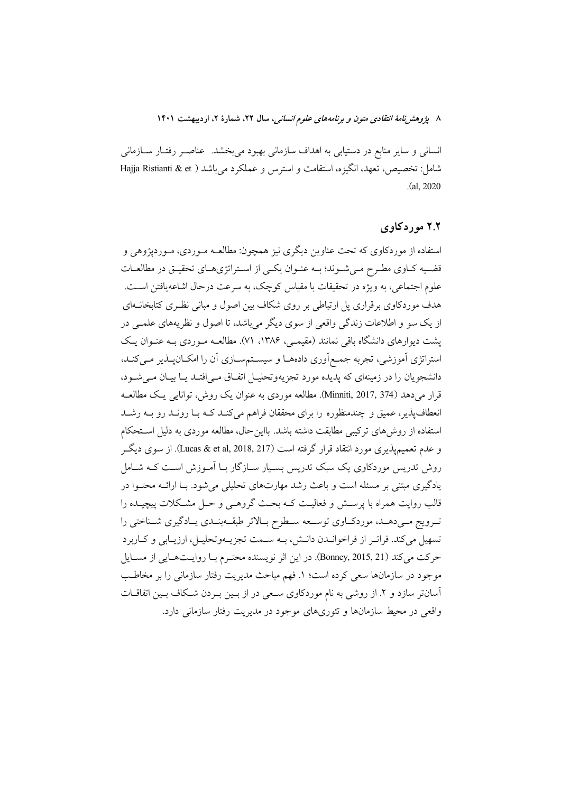انسانی و سایر منابع در دستیابی به اهداف سازمانی بهبود میبخشد. عناصـر رفتـار سـازمانی شامل: تخصیص، تعهد، انگیزه، استقامت و استرس و عملکرد می باشد ( Hajja Ristianti & et  $(a, 2020)$ 

# ۲.۲ مورد کاوي

استفاده از موردکاوی که تحت عناوین دیگری نیز همچون: مطالعـه مـوردی، مـوردپژوهی و قضـیه کـاوی مطـرح مـیشـوند؛ بـه عنـوان یکـی از اسـتراتژیهـای تحقیـق در مطالعـات علوم اجتماعی، به ویژه در تحقیقات با مقیاس کوچک، به سرعت درحال اشاعه یافتن اسـت. هدف موردکاوی برقراری پل ارتباطی بر روی شکاف بین اصول و مبانی نظـری کتابخانــهای از یک سو و اطلاعات زندگی واقعی از سوی دیگر می باشد، تا اصول و نظریههای علمـی در یشت دیوارهای دانشگاه باقی نمانند (مقیمـی، ۱۳۸۶، ۷۱). مطالعــه مـوردی بــه عنـوان یـک استراتژی آموزشی، تجربه جمع|وری دادههـا و سیسـتمسـازی آن را امکــانپــذیر مــیکنــد، دانشجویان را در زمینهای که پدیده مورد تجزیهوتحلیـل اتفــاق مــی|فتــد پــا بیــان مــی شــود، قرار می دهد (Minniti, 2017, 374). مطالعه موردی به عنوان یک روش، توانایی یک مطالعــه انعطافپذیر، عمیق و چندمنظوره را برای محققان فراهم میکند کـه بـا رونـد رو بـه رشـد استفاده از روشهای ترکیبی مطابقت داشته باشد. بااین حال، مطالعه موردی به دلیل استحکام و عدم تعميميذيري مورد انتقاد قرار گرفته است (Lucas & et al, 2018, 217). از سوي ديگر روش تدریس موردکاوی یک سبک تدریس بسـیار سـازگار بـا اَمـوزش اسـت کـه شـامل یادگیری مبتنی بر مسئله است و باعث رشد مهارتهای تحلیلی می شود. بـا ارائــه محتــوا در قالب روایت همراه با پرســش و فعالیــت کــه بحــث گروهــی و حــل مشــکلات پیچیــده را تـرويج مـيدهـد، موردكـاوي توسـعه سـطوح بـالاتر طبقــهبنـدي يـادگيري شــناختي را تسهیل میکند. فراتـر از فراخوانـدن دانـش، بـه سـمت تجزیـهوتحلیـل، ارزیـابی و کـاربرد حركت مي كند (Bonney, 2015, 21). در اين اثر نويسنده محتـرم بـا روايـتهـايي از مسـايل موجود در سازمانها سعی کرده است؛ ١. فهم مباحث مدیریت رفتار سازمانی را بر مخاطب آسانتر سازد و ۲. از روشی به نام موردکاوی سعی در از بسین به دن شکاف بسین اتفاقیات واقعی در محیط سازمانها و تئوریهای موجود در مدیریت رفتار سازمانی دارد.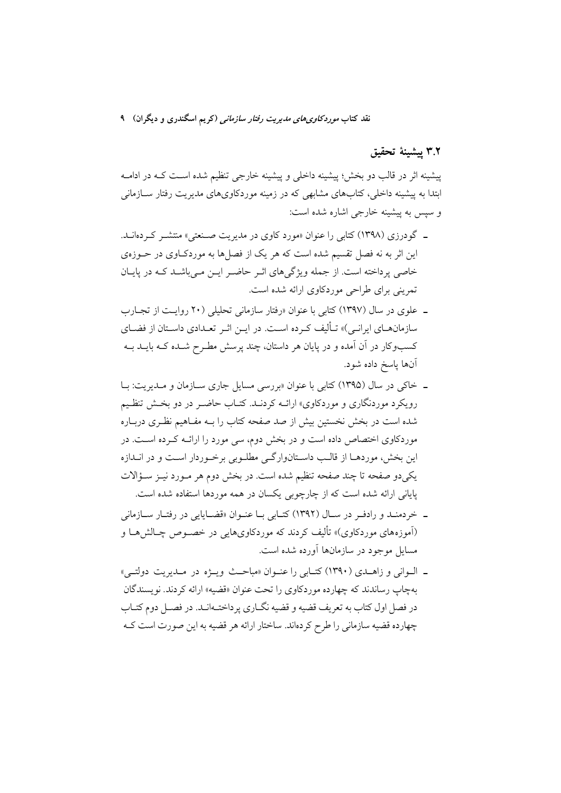# ٣.٢ پيشينة تحقيق

ييشينه اثر در قالب دو بخش؛ پيشينه داخلي و پيشينه خارجي تنظيم شده است کـه در ادامـه ابتدا به پیشینه داخلی، کتابهای مشابهی که در زمینه موردکاویهای مدیریت رفتار سـازمانی و سپس به پیشینه خارجی اشاره شده است:

- ـ گودرزی (۱۳۹۸) کتابی را عنوان «مورد کاوی در مدیریت صـنعتی» منتشـر کـردهانــد. این اثر به نه فصل تقسیم شده است که هر یک از فصلها به موردکاوی در حــوزهی خاصی پرداخته است. از جمله ویژگیهای اثـر حاضـر ایـن مـیباشـد کـه در پایـان تمرینی برای طراحی موردکاوی ارائه شده است.
- ـ علوی در سال (۱۳۹۷) کتابی با عنوان «رفتار سازمانی تحلیلی (۲۰ روایـت از تجـارب سازمانهــاي ايرانــي)» تــأليف كــرده اســت. در ايــن اثــر تعــدادي داســتان از فضــاي کسبوکار در آن اَمده و در پایان هر داستان، چند پرسش مطـرح شــده کــه بایــد بــه آنها پاسخ داده شود.
- ـ خاکی در سال (۱۳۹۵) کتابی با عنوان «بررسی مسایل جاری سـازمان و مـدیریت: بـا رویکرد موردنگاری و موردکاوی» ارائــه کردنــد. کتــاب حاضــر در دو بخــش تنظــیم شده است در بخش نخستین بیش از صد صفحه کتاب را بــه مفـاهیم نظـری دربـاره موردکاوی اختصاص داده است و در بخش دوم، سی مورد را ارائــه کـرده اســت. در این بخش، موردهـا از قالـب داسـتانوارگـی مطلـوبی برخـوردار اسـت و در انــدازه یکیدو صفحه تا چند صفحه تنظیم شده است. در بخش دوم هر مـورد نیـز سـؤالات یایانی ارائه شده است که از چارچوبی یکسان در همه موردها استفاده شده است.
- ـ خردمنـد و رادفـر در سـال (١٣٩٢) كتـابي بـا عنـوان «قضـايايي در رفتـار سـازماني (آموزههای موردکاوی)» تألیف کردند که موردکاویهایی در خصـوص چــالش هــا و مسایل موجود در سازمانها آورده شده است.
- ـ البواني و زاهيدي (١٣٩٠) كتبابي را عنبوان «مباحث وبيۋه در ميديويت دولتبي» بهچاپ رساندند که چهارده موردکاوی را تحت عنوان «قضیه» ارائه کردند. نویسندگان در فصل اول کتاب به تعریف قضیه و قضیه نگــاری پر داختــهانــد. در فصــل دوم کتــاب چهارده قضیه سازمانی را طرح کردهاند. ساختار ارائه هر قضیه به این صورت است کـه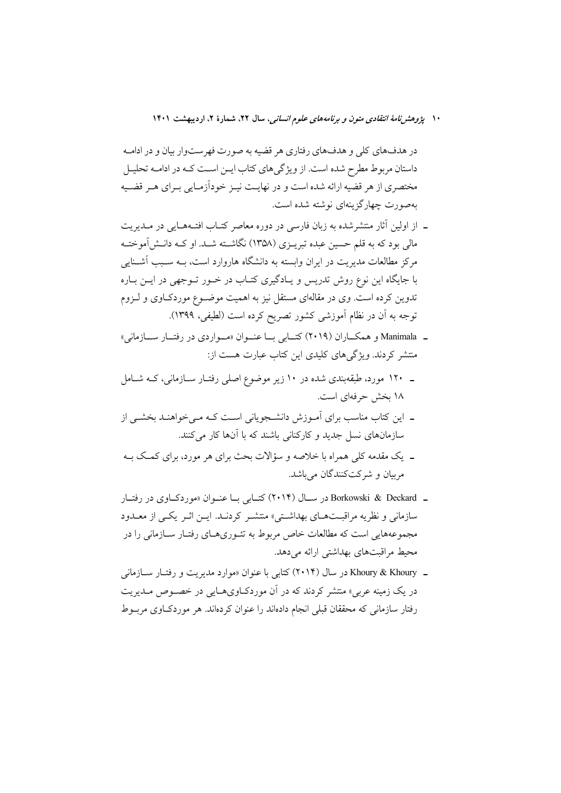در هدفهاي كلي و هدفهاي رفتاري هر قضيه به صورت فهرستوار بيان و در ادامـه داستان مربوط مطرح شده است. از ویژگیهای کتاب ایـن اسـت کـه در ادامـه تحليـل مختصری از هر قضیه ارائه شده است و در نهایـت نیـز خوداَزمـایی بـرای هـر قضـیه بهصورت چهارگزینهای نوشته شده است.

- ـ از اولین آثار منتشرشده به زبان فارسی در دوره معاصر کتـاب افتـههـایی در مـدیریت مالی بود که به قلم حسین عبده تبریــزی (۱۳۵۸) نگاشــته شــد. او کــه دانــش[موختــه مرکز مطالعات مدیریت در ایران وابسته به دانشگاه هاروارد است، بــه سـبب آشــنایی با جایگاه این نوع روش تدریس و یـادگیری کتـاب در خـور تـوجهی در ایـن بـاره تدوین کرده است. وی در مقالهای مستقل نیز به اهمیت موضــوع موردکــاوی و لــزوم توجه به أن در نظام أموزشي كشور تصريح كرده است (لطيفي، ١٣٩٩).
- ـ Manimala و همكــاران (٢٠١٩) كتــابي بــا عنــوان «مــواردي در رفتــار ســـازماني» منتشر کردند. ویژگی های کلیدی این کتاب عبارت هست از:
- ـ ۱۲۰ مورد، طبقهبندی شده در ۱۰ زیر موضوع اصلی رفتـار سـازمانی، کــه شـامل ١٨ بخش حرفهاي است.
- ۔ این کتاب مناسب برای آمـوزش دانشـجویانی اسـت کـه مـی خواهنـد بخشـی از سازمانهای نسل جدید و کارکنانی باشند که با آنها کار می کنند.
- ۔ یک مقدمه کلی همراه با خلاصه و سؤالات بحث برای هر مورد، برای کمک بـه مربيان و شركتكنندگان ميباشد.
- ـ Borkowski & Deckard در سـال (۲۰۱۴) کتـابی بـا عنـوان «موردکـاوی در رفتـار سازمانی و نظریه مراقبـتهـای بهداشـتی» منتشـر کردنـد. ایـن اثـر یکـی از معـدود مجموعههایی است که مطالعات خاص مربوط به تئـوريهـای رفتـار سـازمانی را در محیط مراقبتهای بهداشتی ارائه می دهد.
- ـ Khoury & Khoury در سال (۲۰۱۴) کتابی با عنوان «موارد مدیریت و رفتیار سیازمانی در یک زمینه عربی» منتشر کردند که در آن موردکـاویهــایی در خصــوص مــدیریت رفتار سازمانی که محققان قبلی انجام دادهاند را عنوان کردهاند. هر موردکاوی مربوط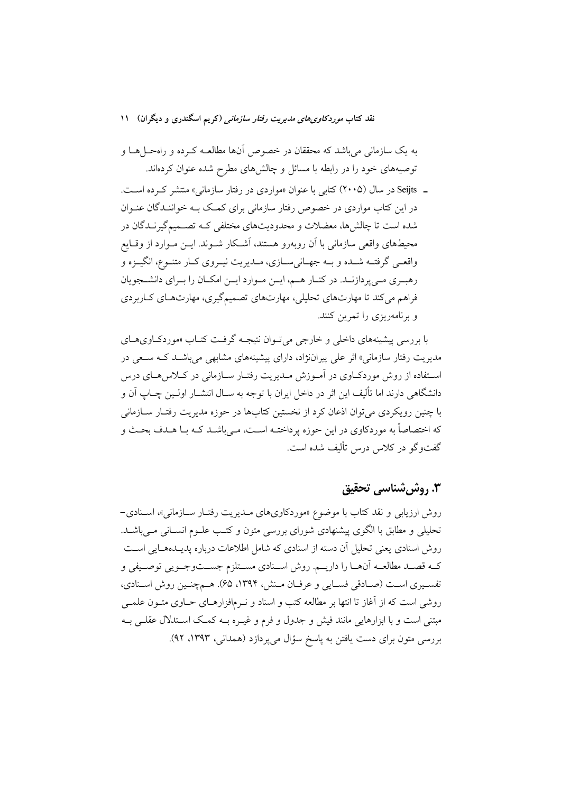به یک سازمانی میباشد که محققان در خصوص آنها مطالعـه کـرده و راهحــلهـا و توصیههای خود را در رابطه با مسائل و چالشهای مطرح شده عنوان کردهاند.

ـ Seijts در سال (۲۰۰۵) کتابی با عنوان «مواردی در رفتار سازمانی» منتشر که ده است. در این کتاب مواردی در خصوص رفتار سازمانی برای کمک بـه خواننـدگان عنـوان شده است تا چالشها، معضلات و محدودیتهای مختلفی کـه تصـمیمگیرنـدگان در محیطهای واقعی سازمانی با آن روبهرو هستند، آشـکار شـوند. ایــن مـوارد از وقـایع واقعـي گرفتــه شــده و بــه جهــانيســازي، مــديريت نيــروي كــار متنــوع، انگيــزه و رهبری مےپردازنـد. در کنـار هـم، ايـن مـوارد ايـن امكـان را بـراي دانشـجويان فراهم می کند تا مهارتهای تحلیلی، مهارتهای تصمیمگیری، مهارتهای کـاربردی و برنامهریزی را تمرین کنند.

با بررسی پیشینههای داخلی و خارجی می تـوان نتیجـه گرفـت کتـاب «موردکــاویهــای مدیریت رفتار سازمانی» اثر علی پیراننژاد، دارای پیشینههای مشابهی میباشــد کــه ســعی در استفاده از روش موردکباوی در آمبوزش مبدیریت رفتبار سبازمانی در کبلاس هبای درس دانشگاهی دارند اما تألیف این اثر در داخل ایران با توجه به ســال انتشــار اولــین چــاپ آن و با چنین رویکردی می توان اذعان کرد از نخستین کتابها در حوزه مدیریت رفتـار ســازمانی که اختصاصاً به موردکاوي در اين حوزه پرداختـه اسـت، مـي باشـد کـه بـا هـدف بحـث و گفتوگو در کلاس درس تألیف شده است.

# **۳. روش شناسی تحقیق**

روش ارزیابی و نقد کتاب با موضوع «موردکاویهای مـدیریت رفتـار سـازمانی»، اسـنادی-تحلیلی و مطابق با الگوی پیشنهادی شورای بررسی متون و کتب علـوم انسـانی مـیباشـد. روش اسنادی یعنی تحلیل آن دسته از اسنادی که شامل اطلاعات درباره پدیــدههــایی اســت کـه قصــد مطالعــه اّنهــا را داريــم. روش اســنادي مســتلزم جســتوجــويي توصــيفي و تفسيري است (صـادقي فسـايي و عرفـان مـنش، ١٣٩۴، ۶۵). هـمچنـين روش اسـنادي، روشی است که از آغاز تا انتها بر مطالعه کتب و اسناد و نـرمافزارهـای حـاوی متـون علمـی مبتنی است و با ابزارهایی مانند فیش و جدول و فرم و غیــره بــه کمــک اســتدلال عقلــی بــه بررسی متون برای دست یافتن به پاسخ سؤال میپردازد (همدانی، ۱۳۹۳، ۹۲).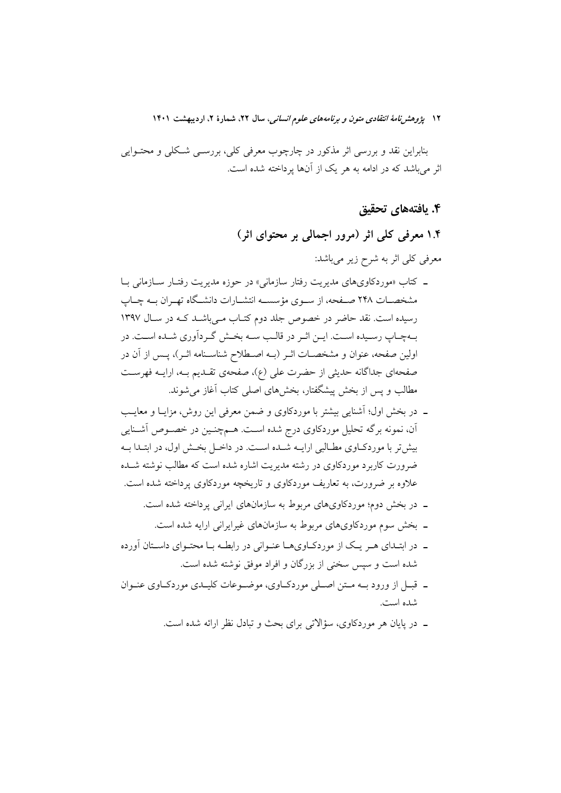بنابراین نقد و بررسی اثر مذکور در چارچوب معرفی کلی، بررســی شـکلی و محتــوایی اثر می باشد که در ادامه به هر یک از آنها پرداخته شده است.

۴. یافتههای تحقیق

۱.۴ معرفی کلی اثر (مرور اجمالی بر محتوای اثر) معرفی کلی اثر به شرح زیر میباشد:

- ـ كتاب «موردكاويهاي مديريت رفتار سازماني» در حوزه مديريت رفتـار ســازماني بــا مشخصـات ٢۴٨ صـفحه، از سـوى مؤسســه انتشــارات دانشــگاه تهــران بــه چــاپ رسیده است. نقد حاضر در خصوص جلد دوم کتـاب مـیباشـد کـه در سـال ۱۳۹۷ بـهچـاپ رسـيده اسـت. ايــن اثــر در قالـب ســه بخــش گــردآوري شــده اســت. در اولین صفحه، عنوان و مشخصـات اثـر (بــه اصـطلاح شناسـنامه اثـر)، پــس از آن در صفحهای جداگانه حدیثی از حضرت علی (ع)، صفحهی تقـدیم بــه، ارایــه فهرســت مطالب و يس از بخش پيشگفتار، بخشهاى اصلى كتاب آغاز مى شوند.
- ۔ در بخش اول؛ آشنایی بیشتر با موردکاوی و ضمن معرفی این روش، مزایـا و معایـب اّن، نمونه برگه تحلیل موردکاوی درج شده است. هــمچنــین در خصــوص اَشــنایی بیش تر با موردکباوی مطبالبی ارایــه شــده اســت. در داخــل بخــش اول، در ابتــدا بــه ضرورت کاربرد موردکاوی در رشته مدیریت اشاره شده است که مطالب نوشته شــده علاوه بر ضرورت، به تعاریف موردکاوی و تاریخچه موردکاوی پرداخته شده است.
	- ـ در بخش دوم؛ موردکاویهای مربوط به سازمانهای ایرانی پرداخته شده است.
		- ۔ یخش سوم موردکاویهای مربوط به سازمانهای غیرابرانی ارایه شده است.
- ـ در ابتـداي هـر يـک از موردکــاويهــا عنــواني در رابطــه بــا محتــواي داســتان آورده شده است و سپس سخنی از بزرگان و افراد موفق نوشته شده است.
- ـ قبــل از ورود بــه مــتن اصــلي موردكــاوي، موضــوعات كليــدي موردكــاوي عنــوان شده است.
	- ۔ در پایان هر موردکاوی، سؤالاتی برای بحث و تبادل نظر ارائه شده است.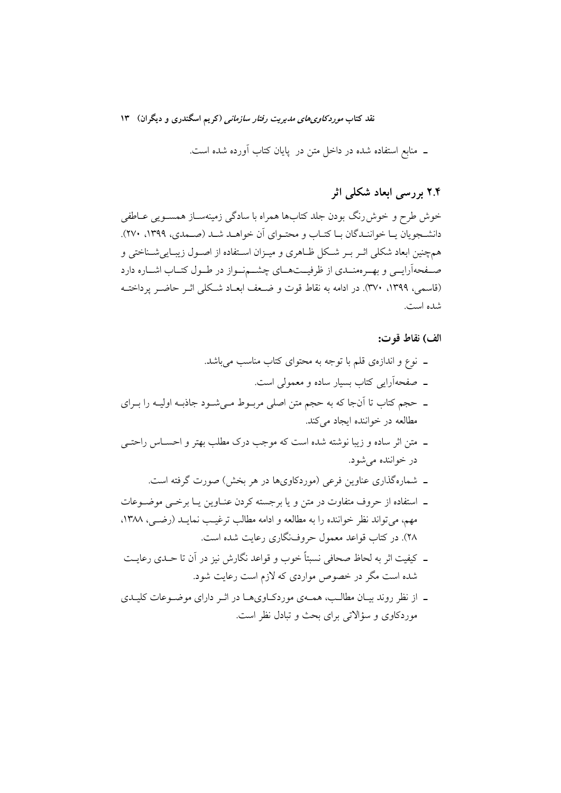نقد کتاب *موردکاوی های مدی*ریت *رفتار سازمانی (*کریم اسگندری و دیگران) ۱۳

ـ منابع استفاده شده در داخل متن در پایان کتاب آورده شده است.

# ۲.۴ بررسی ابعاد شکلی اثر

خوش طرح و خوش رنگ بودن جلد کتابها همراه با سادگی زمینهسـاز همسـویی عــاطفی دانشـجويان يــا خواننــدگان بــا كتــاب و محتــواي آن خواهــد شــد (صــمدي، ١٣٩٩، ٢٧٠). همچنین ابعاد شکلی اثـر بـر شـکل ظـاهری و میـزان اسـتفاده از اصـول زیبـایی شـناختی و صـفحهآرايــي و بهــرهمنــدي از ظرفيــتهــاي چشـــمنــواز در طــول كتــاب اشــاره دارد (قاسمي، ١٣٩٩، ٣٧٠). در ادامه به نقاط قوت و ضـعف ابعـاد شـكلي اثـر حاضـر يرداختـه شده است.

#### الف) نقاط قو ت:

- ـ نوع و اندازهى قلم با توجه به محتواى كتاب مناسب مىباشد. ـ صفحهآرایی کتاب بسیار ساده و معمولی است.
- ۔ حجم کتاب تا اُنجا که به حجم متن اصلی مربـوط مـیشـود جاذبـه اولیـه را بـرای مطالعه در خواننده ایجاد می کند.
- ـ متن اثر ساده و زيبا نوشته شده است كه موجب درك مطلب بهتر و احســاس راحتــي در خواننده مي شود.
	- ـ شمارهگذاری عناوین فرعی (موردکاویها در هر بخش) صورت گرفته است.
- ـ استفاده از حروف متفاوت در متن و یا برجسته کردن عنـاوین پـا برخــی موضــوعات مهم، می تواند نظر خواننده را به مطالعه و ادامه مطالب ترغیب نمایــد (رضــ ٍ,، ١٣٨٨. ۲۸). در کتاب قواعد معمول حروفنگاری رعایت شده است.
- ـ كيفيت اثر به لحاظ صحافي نسبتاً خوب و قواعد نگارش نيز در آن تا حـدي رعايــت شده است مگر در خصوص مواردی که لازم است رعایت شود.
- ـ از نظر روند بيـان مطالـب، همــهي موردكـاويهــا در اثــر داراي موضــوعات كليــدي موردکاوی و سؤالاتی برای بحث و تبادل نظر است.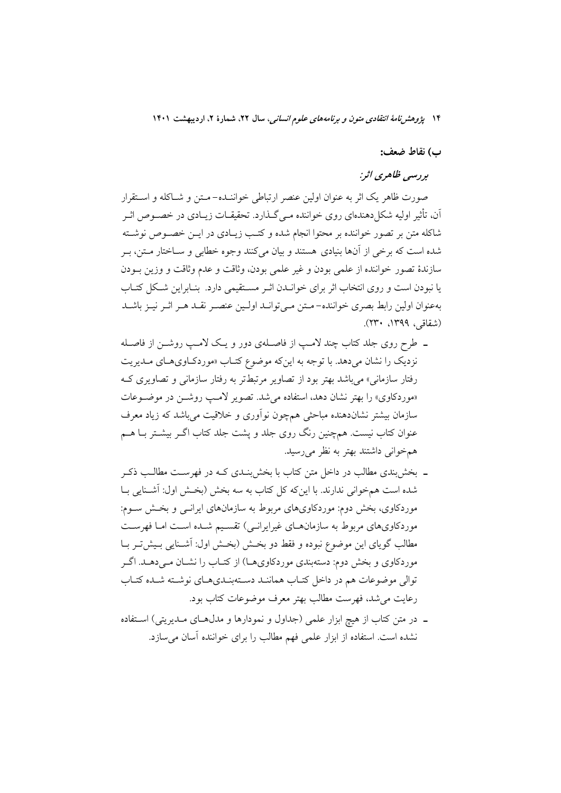#### ب) نقاط ضعف:

# ہررسی ظاهری اثر:

صورت ظاهر يک اثر به عنوان اولين عنصر ارتباطي خواننــده- مـتن و شــاکله و اســتقرار آن، تأثیر اولیه شکل(دهندهای روی خواننده مـی گـذارد. تحقیقــات زیــادی در خصــوص اثــر شاكله متن بر تصور خواننده بر محتوا انجام شده و كتب زيـادي در ايــن خصــوص نوشــته شده است که برخی از آنها بنیادی هستند و بیان میکنند وجوه خطابی و ســاختار مــتن، بــر سازندهٔ تصور خواننده از علمی بودن و غیر علمی بودن، وثاقت و عدم وثاقت و وزین بـودن یا نبودن است و روی انتخاب اثر برای خوانـدن اثـر مسـتقیمی دارد. بنـابراین شـكل كتـاب بهعنوان اولین رابط بصری خواننده-متن می توانـد اولـین عنصـر نقـد هـر اثـر نیـز باشـد (شقاقی، ۱۳۹۹، ۲۳۰).

- ـ طرح روی جلد کتاب چند لامـپ از فاصـلهی دور و یـک لامـپ روشــن از فاصـله نزدیک را نشان می دهد. با توجه به این که موضوع کتـاب «موردکـاویهـای مـدیریت رفتار سازمانی» می باشد بهتر بود از تصاویر مرتبطتر به رفتار سازمانی و تصاویری ک «موردكاوي» را بهتر نشان دهد، استفاده مي شد. تصوير لامـب روشــن در موضــوعات سازمان بیشتر نشاندهنده مباحثی همچون نوأوری و خلاقیت میباشد که زیاد معرف عنوان کتاب نیست. همچنین رنگ روی جلد و پشت جلد کتاب اگــر بیشــتر بــا هــم همخوانی داشتند بهتر به نظر میرسید.
- ـ بخشبندي مطالب در داخل متن كتاب با بخشبندي كـه در فهرسـت مطالـب ذكـر شده است همخوانی ندارند. با اینکه کل کتاب به سه بخش (بخش اول: آشـنایی بـا موردکاوی، بخش دوم: موردکاویهای مربوط به سازمانهای ایرانــی و بخــش ســوم: موردکاویهای مربوط به سازمانهـای غیرایرانـی) تقسـیم شـده اسـت امـا فهرسـت مطالب گویای این موضوع نبوده و فقط دو بخش (بخش اول: آشــنایی بـیش5ـر بــا موردکاوی و بخش دوم: دستهبندی موردکاویهـا) از کتـاب را نشــان مــیدهــد. اگــر توالی موضوعات هم در داخل کتـاب هماننـد دسـتهبنـديهـاي نوشـته شـده کتـاب رعايت مي شد، فهرست مطالب بهتر معرف موضوعات كتاب بود.
- ـ در متن كتاب از هيچ ابزار علمي (جداول و نمودارها و مدل(هاي مـديريتي) اسـتفاده نشده است. استفاده از ابزار علمی فهم مطالب را برای خواننده آسان می سازد.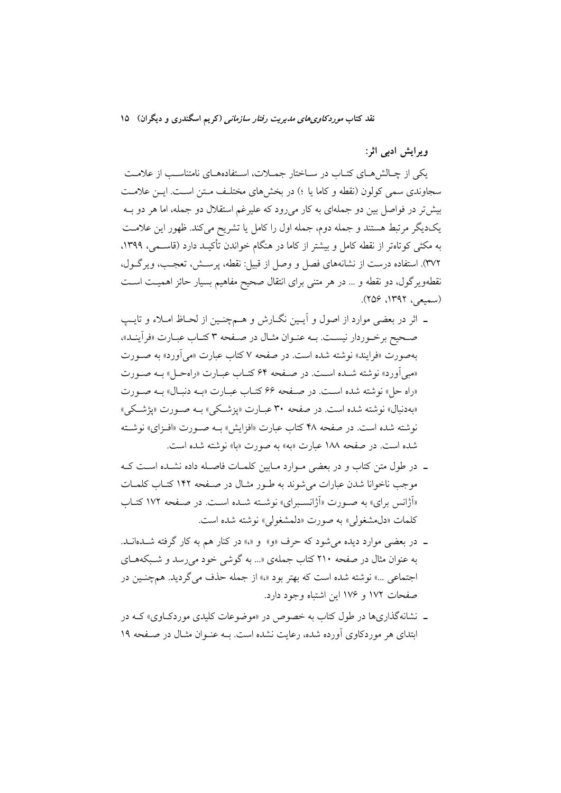نقد کتاب *موردکاوی های مدیریت رفتار سازمانی (*کریم اسگندری و دیگران) ۱۵

ویرایش ادبی اثر:

یکی از چـالش هـای کتـاب در سـاختار جمـلات، اسـتفادههـای نامتناسـب از علامـت سجاوندی سمی کولون (نقطه و کاما یا ؛) در بخش های مختلـف مـتن اسـت. ایـن علامـت بیش تر در فواصل بین دو جملهای به کار می رود که علیرغم استقلال دو جمله، اما هر دو بـه یکدیگر مرتبط هستند و جمله دوم، جمله اول را کامل یا تشریح میکند. ظهور این علامت به مکثی کوتاهتر از نقطه کامل و بیشتر از کاما در هنگام خواندن تأکیـد دارد (قاســمی، ۱۳۹۹، ٣٧٢). استفاده درست از نشانههاي فصل و وصل از قبيل: نقطه، پرســش، تعجـب، ويرگــول، نقطهویرگول، دو نقطه و … در هر متنی برای انتقال صحیح مفاهیم بسیار حائز اهمیت است (سمبعی، ۱۳۹۲، ۲۵۶).

- ـ اثر در بعضي موارد از اصول و آيـين نگــارش و هــمچنـين از لحــاظ امــلاء و تايــپ صحيح برخـوردار نيسـت. بــه عنـوان مثـال در صــفحه ٣ كتـاب عبـارت «فرأينـد»، بهصورت «فرايند» نوشته شده است. در صفحه ۷ كتاب عبارت «مي آورد» به صـورت «مبر ٖاَورد» نوشته شـده اسـت. در صـفحه ۶۴ کتـاب عبـارت «راهحـل» بـه صـورت «راه حل» نوشته شده است. در صفحه ۶۶ کتـاب عبـارت «بــه دنبـال» بــه صـورت «بهدنبال» نوشته شده است. در صفحه ۳۰ عبـارت «يزشـكي» بـه صـورت «يژشـكي» نوشته شده است. در صفحه ۴۸ کتاب عبارت «افزایش» بـه صـورت «افـزای» نوشـته شده است. در صفحه ۱۸۸ عبارت «به» به صورت «با» نوشته شده است.
- ـ در طول متن كتاب و در بعضى مـوارد مـابين كلمـات فاصـله داده نشـلده اسـت كـه موجب ناخوانا شدن عبارات مي شوند به طـور مثـال در صـفحه ١۴٢ كتـاب كلمـات «آژانس برای» به صورت «آژانسبرای» نوشته شـده اسـت. در صـفحه ۱۷۲ کتـاب كلمات «دل مشغولي» به صورت «دلمشغولي» نوشته شده است.
- ـ در بعضي موارد ديده مي شود كه حرف «و» و «» در كنار هم به كار گرفته شـلـامانـلـ. به عنوان مثال در صفحه ۲۱۰ کتاب جملهی «... به گوشی خود می رسد و شـبکههـای اجتماعی ...» نوشته شده است که بهتر بود «،» از جمله حذف می گردید. همچنین در صفحات ۱۷۲ و ۱۷۶ این اشتباه وجود دارد.
- ـ نشانهگذاریها در طول کتاب به خصوص در «موضوعات کلیدی موردکاوی» کـه در ابتدای هر موردکاوی آورده شده، رعایت نشده است. بـه عنـوان مثـال در صـفحه ۱۹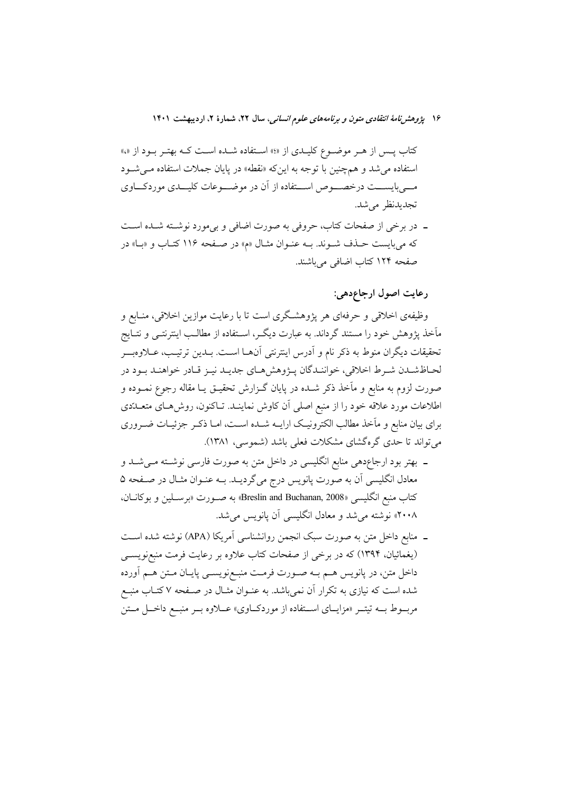کتاب پـس از هـر موضـوع کلیـدي از «؛» اسـتفاده شـده اسـت کـه بهتـر بـود از «،» استفاده می شد و همچنین با توجه به این که «نقطه» در پایان جملات استفاده مـی شـود مـــیبایســـت درخصــــوص اســـتفاده از آن در موضـــوعات کلیـــدی موردکـــاوی تجديدنظر مي شد.

ــ در برخی از صفحات کتاب، حروفی به صورت اضافی و بیمورد نوشــته شــده اســت که می بایست حـذف شـوند. بـه عنـوان مثـال «م» در صـفحه ۱۱۶ کتـاب و «بـا» در صفحه ۱۲۴ کتاب اضافی میباشند.

رعايت اصول ارجاع دهي:

وظیفهی اخلاقی و حرفهای هر پژوهشگری است تا با رعایت موازین اخلاقی، منـابع و مأخذ یژوهش خود را مستند گرداند. به عبارت دیگ ، اسـتفاده از مطالـب اینترنتــی و نتــایج تحقيقات ديگران منوط به ذكر نام و أدرس اينترنتي آنهـا اسـت. بــدين ترتيـب، عــلاوهبـــر لحـاظشـدن شـرط اخلاقي، خواننـدگان پـژوهش هـاي جديـد نيـز قـادر خواهنـد بـود در صورت لزوم به منابع و مآخذ ذکر شــده در پایان گــزارش تحقیــق یــا مقاله رجوع نمــوده و اطلاعات مورد علاقه خود را از منبع اصلی اَن کاوش نماینـد. تــاکنون، روش۱عـای متعــدّدی برای بیان منابع و مآخذ مطالب الکترونیک ارایــه شــده اســت، امــا ذکــر جزئیــات ضــروری می تواند تا حدی گرهگشای مشکلات فعلی باشد (شموسی، ۱۳۸۱).

- ـ بهتر بود ارجاعدهی منابع انگلیسی در داخل متن به صورت فارسی نوشـته مـیشـد و معادل انگلیسی آن به صورت پانویس درج میگردیـد. بــه عنــوان مثــال در صــفحه ۵ كتاب منبع انگليسيي «Breslin and Buchanan, 2008» به صــورت «برســلين و بوكانــان، ۲۰۰۸» نوشته می شد و معادل انگلیسی آن پانویس می شد.
- ـ منابع داخل متن به صورت سبک انجمن روانشناسی آمریکا (APA) نوشته شده اسـت (یغمائیان، ۱۳۹۴) که در برخی از صفحات کتاب علاوه بر رعایت فرمت منبعنویســی داخل متن، در پانویس هــم بــه صــورت فرمــت منبــعرنویســی پایــان مــتن هــم آورده شده است که نیازی به تکرار آن نمیباشد. به عنـوان مثـال در صـفحه ۷ کتـاب منبـع مربسوط بسه تیتسر «مزایسای اسستفاده از موردکساوی» عسلاوه بسر منبسع داخسل مستن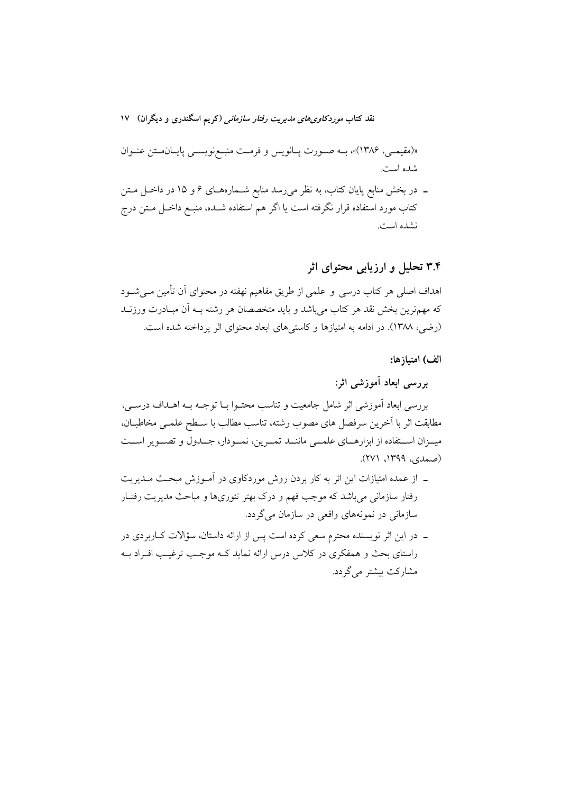نقد کتاب *موردکاوی های مدی*ریت *رفتار سازمانی (*کریم اسگندری و دیگران) ۱۷

«(مقيمـي، ١٣٨۶)»، بـه صـورت پـانويس و فرمـت منبـعزويســي پايـانمـتن عنـوان شده است.

ــ در بخش منابع پایان کتاب، به نظر میرسد منابع شــمارههـای ۶ و ۱۵ در داخــل مــتن کتاب مورد استفاده قرار نگرفته است یا اگر هم استفاده شــده، منبــع داخــل مــتن درج نشده است.

# ۳.۴ تحلیل و ارزیابی محتوای اثر

اهداف اصلی هر کتاب درسی و علمی از طریق مفاهیم نهفته در محتوای آن تأمین مـی.شــود که مهمترین بخش نقد هر کتاب میباشد و باید متخصصان هر رشته بـه آن مبـادرت ورزنــد (رضی، ۱۳۸۸). در ادامه به امتیازها و کاستی های ابعاد محتوای اثر یرداخته شده است.

### الف) امتياز ها:

بررسی ابعاد آموزشی اثر:

بررسی ابعاد آموزشی اثر شامل جامعیت و تناسب محتـوا بـا توجـه بـه اهـلداف درسـی، مطابقت اثر با آخرین سرفصل های مصوب رشته، تناسب مطالب با سـطح علمـی مخاطبــان. میـزان اسـتفاده از ابزارهـای علمــی ماننــد تمــرین، نمــودار، جــدول و تصــویر اســت (صمدی، ۱۳۹۹، ۲۷۱).

- ـ از عمده امتیازات این اثر به کار بردن روش موردکاوی در آمـوزش مبحـث مـدیریت رفتار سازمانی می باشد که موجب فهم و درک بهتر تئوریها و مباحث مدیریت رفتـار سازمانی در نمونههای واقعی در سازمان میگردد.
- ـ در این اثر نویسنده محترم سعی کرده است پس از ارائه داستان، سؤالات کــاربردی در راستای بحث و همفکری در کلاس درس ارائه نماید کـه موجـب ترغیـب افـراد بــه مشارکت بیشتر مے گردد.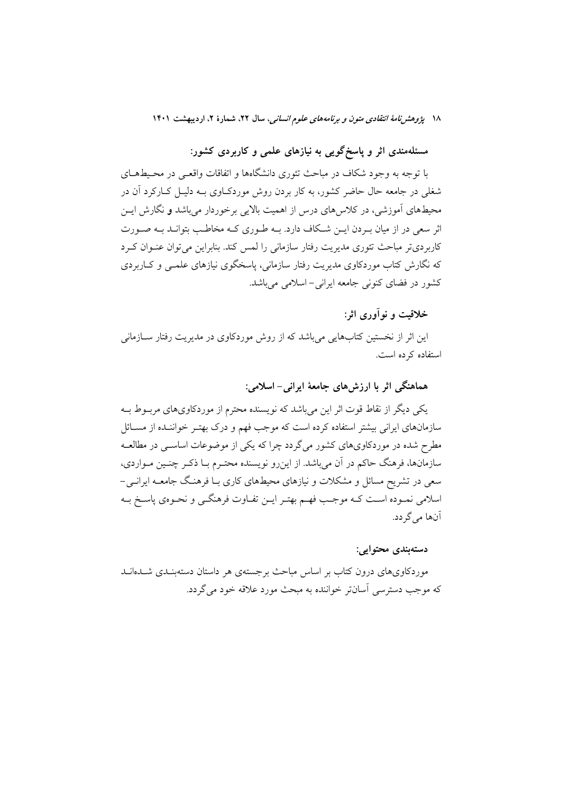مسئلهمندی اثر و پاسخگویی به نیازهای علمی و کاربردی کشور:

با توجه به وجود شکاف در مباحث تئوری دانشگاهها و اتفاقات واقعبی در محیطهــای شغلي در جامعه حال حاضر کشور، به کار بردن روش موردکیاوي پـه دلیـل کیارکرد آن در محیطهای اَموزشی، در کلاس۵ای درس از اهمیت بالایی برخوردار میباشد و نگارش ایــن اثر سعی در از میان به دن ایــن شــکاف دارد. بــه طــو ری کــه مخاطــب بتوانــد بــه صــو رت کاربردیتر مباحث تئوری مدیریت رفتار سازمانی را لمس کند. بنابراین میتوان عنوان کرد که نگارش کتاب موردکاوی مدیریت رفتار سازمانی، یاسخگوی نیازهای علمــی و کــاربردی کشور در فضای کنونی جامعه ایرانی-اسلامی می باشد.

خلاقيت و نو آوري اثر:

این اثر از نخستین کتابهایی می باشد که از روش موردکاوی در مدیریت رفتار ســازمانی استفاده کرده است.

هماهنگی اثر با ارزش های جامعهٔ ایرانی– اسلامی:

یکے دیگر از نقاط قوت اثر این مے باشد که نویسنده محترم از موردکاویهای مربوط بـه سازمانهای ایرانی بیشتر استفاده کرده است که موجب فهم و درک بهتـر خواننـده از مســائل مطرح شده در موردکاویهای کشور می گردد چرا که یکی از موضوعات اساسبی در مطالعـه سازمانها، فرهنگ حاکم در آن می باشد. از این رو نویسنده محتـرم بـا ذکـر چنـین مـواردی، سعی در تشریح مسائل و مشکلات و نیازهای محیطهای کاری بـا فرهنـگ جامعـه ایرانـی-اسلامي نمـوده اسـت كـه موجـب فهـم بهتـر ايـن تفـاوت فرهنگـي و نحـوهي ياسـخ بـه آنھا مے گر دد.

دستەبندى محتوايى:

موردکاویهای درون کتاب بر اساس مباحث برجستهی هر داستان دستهبنـدی شــدهانــد که موجب دسترسی آسانتر خواننده به مبحث مورد علاقه خود می گردد.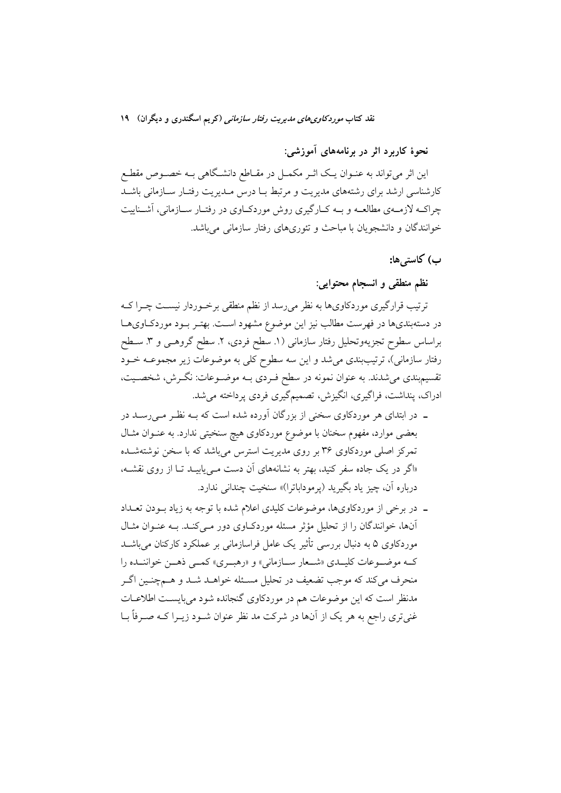# نقد کتاب *موردکاوی های مدیریت رفتار سازمانی (*کریم اسگندری و دیگران) ۱۹

نحوهٔ کاربرد اثر در برنامههای آموزشی:

این اثر میتواند به عنــوان یــک اثــر مکمــل در مقــاطع دانشــگاهی بــه خصــوص مقطــع کارشناسی ارشد برای رشتههای مدیریت و مرتبط بیا درس میدیریت رفتیار سیازمانی باشید چراکــه لازمــهي مطالعــه و بــه کــارگيري روش موردکــاوي در رفتــار ســازماني، آشــناييت خوانندگان و دانشجويان با مباحث و تئوريهاي رفتار سازماني مي باشد.

ب) كاستىﮬا:

نظم منطقی و انسجام محتوایی:

ترتیب قرارگیری موردکاویها به نظر میرسد از نظم منطقی برخـوردار نیسـت چـرا کـه در دستهبندیها در فهرست مطالب نیز این موضوع مشهود اسـت. بهتـر بـود موردكـاویهـا براساس سطوح تجزيهوتحليل رفتار سازماني (١. سطح فردي، ٢. سطح گروهـي و ٣. ســطح رفتار سازمانی)، ترتیببندی میشد و این سه سطوح کلی به موضوعات زیر مجموعــه خــود تقسیم.بندی می شدند. به عنوان نمونه در سطح فـردی بــه موضــوعات: نگــرش، شخصــیت، ادراک، پنداشت، فراگیری، انگیزش، تصمیمگیری فردی پرداخته می شد.

- ــ در ابتدای هر موردکاوی سخنی از بزرگان آورده شده است که بــه نظـر مــی(ســد در بعضی موارد، مفهوم سخنان با موضوع موردکاوی هیچ سنخیتی ندارد. به عنـوان مثـال تمرکز اصلی موردکاوی ۳۶ بر روی مدیریت استرس می باشد که با سخن نوشتهشـده «اگر در یک جاده سفر کنید، بهتر به نشانههای آن دست مـ پابیـد تـا از روی نقشــه، درباره آن، چيز ياد بگيريد (يرموداباترا)» سنخيت چنداني ندارد.
- ـ در برخی از موردکاویها، موضوعات کلیدی اعلام شده با توجه به زیاد بودن تعـداد آنها، خوانندگان را از تحلیل مؤثر مسئله موردکباوی دور مبی کنید. بـه عنبوان مثبال موردکاوی ۵ به دنبال بررسی تأثیر یک عامل فراسازمانی بر عملکرد کارکنان میباشـد کـه موضـوعات کلیـدي «شـعار سـازماني» و «رهبـري» کمـي ذهـن خواننـده را منحرف میکند که موجب تضعیف در تحلیل مسـئله خواهــد شــد و هــمچنــین اگــر مدنظر است که این موضوعات هم در موردکاوی گنجانده شود می بایسـت اطلاعــات غنیتری راجع به هر یک از آنها در شرکت مد نظر عنوان شـود زیـرا کـه صـرفاً بـا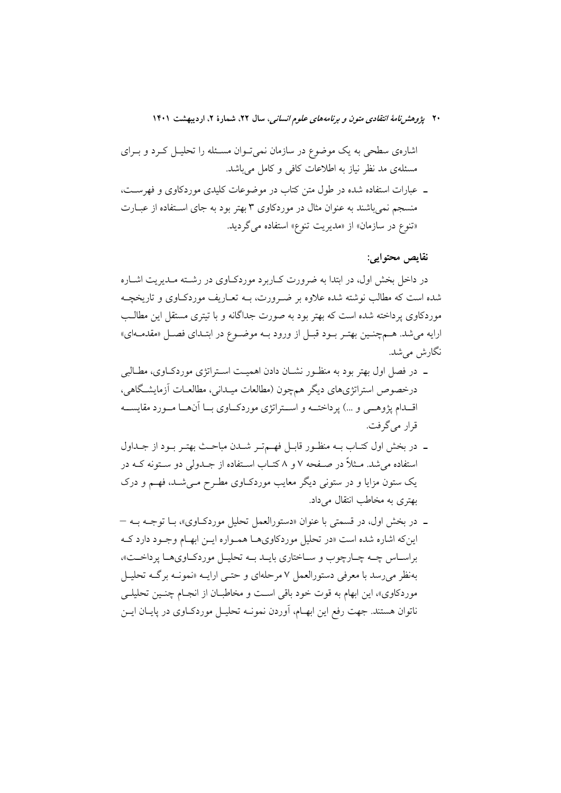اشارهی سطحی به یک موضوع در سازمان نمیتوان مسـئله را تحلیــل کــرد و بــرای مسئلهی مد نظر نیاز به اطلاعات کافی و کامل میباشد.

ـ عبارات استفاده شده در طول متن كتاب در موضوعات كليدى موردكاوى و فهرست، منسجم نمی باشند به عنوان مثال در موردکاوی ۳ بهتر بود به جای اسـتفاده از عبــارت «تنوع در سازمان» از «مديريت تنوع» استفاده مي گرديد.

نقايص محتوايي:

در داخل بخش اول، در ابتدا به ضرورت کــاربرد موردکــاوی در رشــته مــدیریت اشــاره شده است که مطالب نوشته شده علاوه بر ضـرورت، بــه تعــاریف موردکــاوی و تاریخچــه موردکاوی پرداخته شده است که بهتر بود به صورت جداگانه و با تبتری مستقل این مطالب ارايه مي شد. هـمچنـين بهتـر بـود قبـل از ورود بـه موضـوع در ابتـداي فصـل «مقدمـهاي» نگارش مے شد.

- ـ در فصل اول بهتر بود به منظـور نشـان دادن اهميـت اسـتراتژي موردكـاوي، مطـالبي درخصوص استراتژیهای دیگر همچون (مطالعات میـدانی، مطالعـات آزمایشـگاهی، اقـــدام پژوهـــي و …) پرداختـــه و اســـتراتژي موردكــاوي بـــا آن&ـــا مـــورد مقايســــه قرار مي گرفت.
- ۔ در بخش اول کتـاب بــه منظــور قابــل فهــمتــر شــدن مباحــث بهتــر بــود از جــداول استفاده می شد. مــثلاً در صــفحه ۷ و ۸ کتــاب اســتفاده از جــدولی دو ســتونه کــه در یک ستون مزایا و در ستونی دیگر معایب موردکیاوی مطرح می شـد، فهـم و درک بهتری به مخاطب انتقال میداد.
- ـ در بخش اول، در قسمتي با عنوان «دستورالعمل تحليل موردكـاوي»، بــا توجــه بــه این که اشاره شده است «در تحلیل موردکاویهـا همـواره ایـن ابهـام وجـود دارد کـه براسـاس چـه چـارچوب و سـاختاري بايـد بـه تحليـل موردكـاويهـا پرداخـت»، بهنظر می رسد با معرفی دستورالعمل ۷ مرحلهای و حتمی ارایـه «نمونـه برگـه تحليـل موردکاوي»، اين ابهام به قوت خود باقي است و مخاطبـان از انجـام چنـين تحليلـي ناتوان هستند. جهت رفع این ابهـام، آوردن نمونــه تحلیــل موردکــاوی در پایــان ایــن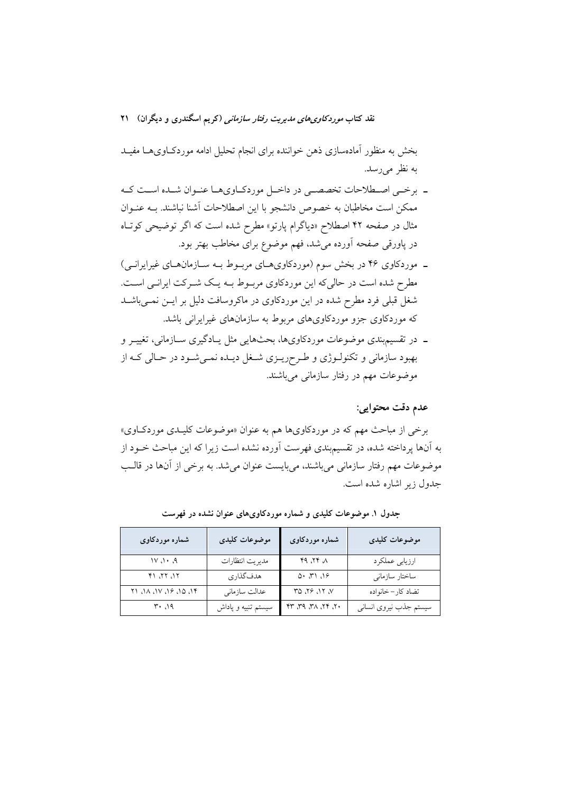بخش به منظور آمادهسازی ذهن خواننده برای انجام تحلیل ادامه موردکاویهـا مفیـد به نظر می رسد.

- ـ برخـي اصـطلاحات تخصصـي در داخـل موردكـاويهـا عنـوان شـده اسـت كـه ممکن است مخاطبان به خصوص دانشجو با این اصطلاحات اَشنا نباشند. بــه عنــوان مثال در صفحه ۴۲ اصطلاح «دیاگرام پارتو» مطرح شده است که اگر توضیحی کوتاه در پاورقی صفحه آورده میشد، فهم موضوع برای مخاطب بهتر بود.
- ـ موردکاوی ۴۶ در بخش سوم (موردکاویهـای مربـوط بـه سـازمانهـای غیرایرانـی) مطرح شده است در حالی که این موردکاوی مربوط بـه یـک شـرکت ایرانـی اسـت. شغل قبلی فرد مطرح شده در این موردکاوی در ماکروسافت دلیل بر ایـن نمـیباشــد که موردکاوی جزو موردکاویهای مربوط به سازمانهای غیرایرانی باشد.
- ــ در تقسیم بندی موضوعات موردکاویها، بحثهایی مثل پـادگیری ســازمانی، تغییــر و بهبود سازماني و تکنولـوژي و طـرحريـزي شـغل ديـده نمـيشـود در حـالي کـه از موضوعات مهم در رفتار سازمانی میباشند.

عدم دقت محتوايي:

برخی از مباحث مهم که در موردکاویها هم به عنوان «موضوعات کلیـدی موردکـاوی» به آنها یرداخته شده، در تقسیم بندی فهرست آورده نشده است زیرا که این مباحث خــود از موضوعات مهم رفتار سازمانی میباشند، میبایست عنوان میشد. به برخی از آنها در قالب جدول زیر اشاره شده است.

| شماره موردکاوی         | موضوعات كليدى       | شماره موردکاوی                         | موضوعات كليدى          |
|------------------------|---------------------|----------------------------------------|------------------------|
| $A \cdot A$            | مديريت انتظارات     | $\wedge$ $\gamma\gamma$ , $\rho\gamma$ | ارزيابي عملكرد         |
| ۱۲، ۲۲، ۲۱             | هدفگذاري            | 0.71.19                                | ساختار سازماني         |
| ۱۴، ۱۵، ۱۶، ۱۷، ۱۸، ۲۱ | عدالت سازماني       | רו. אי $\mathcal{N}$ מץ                | تضاد كار–خانواده       |
| ۱۹، ۳۰                 | سیستم تنبیه و پاداش | $Y$ , $YY$ , $XY$ , $YY$               | سيستم جذب نيروى انسانى |

جدول ۱. موضوعات کلیدی و شماره موردکاویهای عنوان نشده در فهرست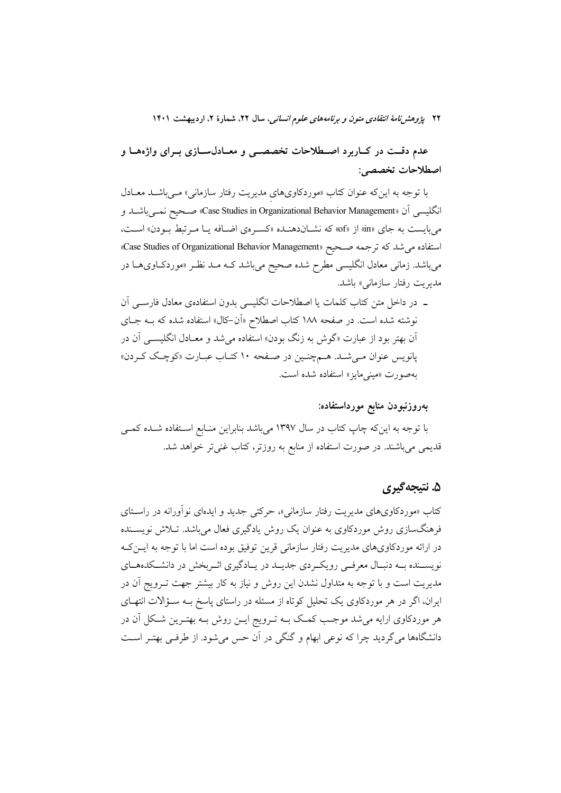عدم دقــت در كــاربرد اصــطلاحات تخصصــي و معــادلســازي بــراي واژههــا و اصطلاحات تخصصي:

با توجه به این که عنوان کتاب «موردکاویهای مدیریت رفتار سازمانی» مـیباشـد معـادل انگلیسی اَن «Case Studies in Organizational Behavior Management» صـحیح نمـیباشــد و میبایست به جای «in» از «of» که نشـاندهنـده «کسـرهی اضـافه یـا مـرتبط بـودن» اسـت، استفاده می شد که ترجمه صبحیح «Case Studies of Organizational Behavior Management» میباشد. زمانی معادل انگلیسی مطرح شده صحیح میباشد کـه مـد نظـر «موردکـاویهـا در مدیریت رفتار سازمانی» باشد.

ـ در داخل متن کتاب کلمات یا اصطلاحات انگلیسی بدون استفادهی معادل فارسـی آن نوشته شده است. در صفحه ۱۸۸ کتاب اصطلاح «اَن-کال» استفاده شده که بــه جــای اّن بهتر بود از عبارت «گوش به زنگ بودن» استفاده میشد و معـادل انگلیســی آن در یانویس عنوان می شد. همچنین در صفحه ۱۰ کتـاب عبـارت «کوچـک کـردن» بهصورت «ميني مايز» استفاده شده است.

# بەروزنبودن منابع مورداستفاده:

با توجه به اینکه چاپ کتاب در سال ۱۳۹۷ میباشد بنابراین منـابع اسـتفاده شـده کمــی قدیمی میباشند. در صورت استفاده از منابع به روزتر، کتاب غنیتر خواهد شد.

# ۵. نتيجه گيري

کتاب «موردکاویهای مدیریت رفتار سازمانی»، حرکتی جدید و ایدهای نوآورانه در راستای فرهنگسازی روش موردکاوی به عنوان یک روش یادگیری فعال میباشد. تـلاش نویســنده در ارائه موردکاویهای مدیریت رفتار سازمانی قرین توفیق بوده است اما با توجه به ایــنکـه نویســنده بــه دنبـال معرفــي رويكــردي جديــد در يــادگيري اثــربخش در دانشــكدههــاي مدیریت است و با توجه به متداول نشدن این روش و نیاز به کار بیشتر جهت تــرویج آن در ایران، اگر در هر موردکاوی یک تحلیل کوتاه از مسئله در راستای پاسخ بـه سـؤالات انتهـای هر موردکاوی ارایه میشد موجب کمک بـه تـرویج ایـن روش بـه بهتـرین شـکل آن در دانشگاهها می گردید چرا که نوعی ابهام و گنگی در آن حس می شود. از طرفی بهتـر اسـت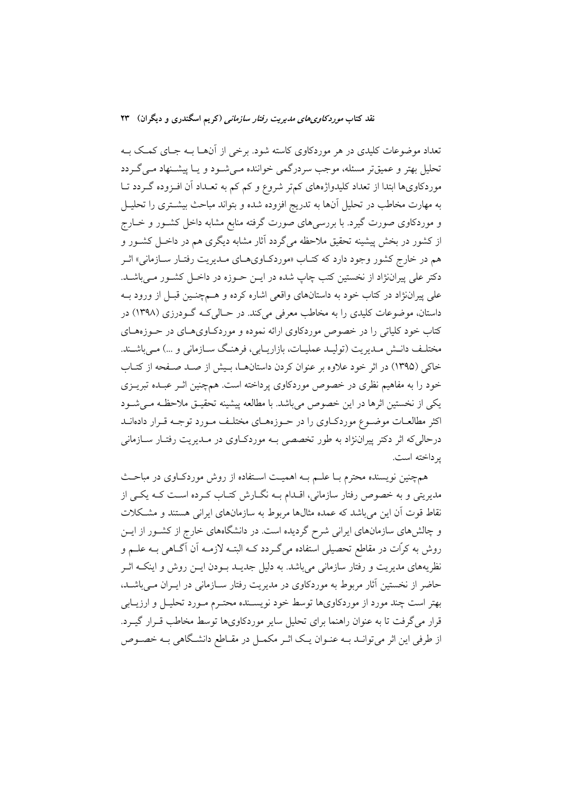تعداد موضوعات کلیدی در هر موردکاوی کاسته شود. برخی از آنهـا بـه جـای کمـک بـه تحلیل بهتر و عمیقتر مسئله، موجب سردرگمی خواننده مـی شـود و یـا پیشـنهاد مـی گـردد موردکاویها ابتدا از تعداد کلیدواژههای کم تر شروع و کم کم به تعـداد آن افـزوده گـردد تــا به مهارت مخاطب در تحلیل آنها به تدریج افزوده شده و بتواند مباحث بیشـتری را تحلیـل و موردکاوی صورت گیرد. با بررسیهای صورت گرفته منابع مشابه داخل کشـور و خــارج از کشور در بخش پیشینه تحقیق ملاحظه میگردد آثار مشابه دیگری هم در داخـل کشــور و هم در خارج كشور وجود دارد كه كتـاب «موردكـاويهـاي مـديريت رفتـار سـازماني» اثـر دکتر علی پیراننژاد از نخستین کتب چاپ شده در ایــن حــوزه در داخــل کشــور مــیباشــد. علمي پيراننژاد در کتاب خود به داستانهاي واقعي اشاره کرده و هــمچنــين قبــل از ورود بــه داستان، موضوعات کلیدی را به مخاطب معرفی می کند. در حـالی کـه گــودرزی (۱۳۹۸) در کتاب خود کلیاتی را در خصوص موردکاوی ارائه نموده و موردکـاویهـای در حـوزههـای مختلـف دانـش مـديريت (توليـد عمليـات، بازاريـابي، فرهنـگ سـازماني و …) مـي/باشـند. خاکی (۱۳۹۵) در اثر خود علاوه بر عنوان کردن داستانها، بـیش از صـد صـفحه از کتـاب خود را به مفاهیم نظری در خصوص موردکاوی پرداخته است. همچنین اثـر عبـده تبریــزی يكي از نخستين اثرها در اين خصوص مي باشد. با مطالعه پيشينه تحقيـق ملاحظـه مـي شـود اکثر مطالعـات موضـوع موردکــاوي را در حــوزههــاي مختلــف مــورد توجــه قــرار دادهانــد درحالی که اثر دکتر پیراننژاد به طور تخصصی بـه موردکـاوی در مـدیریت رفتـار سـازمانی ير داخته است.

همچنین نویسنده محترم بـا علــم بــه اهمیــت اســتفاده از روش موردکــاوی در مباحــث مدیریتی و به خصوص رفتار سازمانی، اقـدام بـه نگــارش کتــاب کــرده اســت کــه یکــی از نقاط قوت آن این می باشد که عمده مثالها مربوط به سازمانهای ایرانی هستند و مشکلات و چالشهای سازمانهای ایرانی شرح گردیده است. در دانشگاههای خارج از کشـور از ایــن روش به کرّات در مقاطع تحصیلی استفاده میگـردد کــه البتــه لازمــه آن آگــاهی بــه علــم و نظریههای مدیریت و رفتار سازمانی می باشد. به دلیل جدیــد بــودن ایــن روش و اینکــه اثــر حاضر از نخستین آثار مربوط به موردکاوی در مدیریت رفتار سـازمانی در ایـران مـی باشـد. بهتر است چند مورد از موردکاویها توسط خود نویســنده محتــرم مــورد تحليــل و ارزيــابي قرار می گرفت تا به عنوان راهنما برای تحلیل سایر موردکاویها توسط مخاطب قـرار گیــرد. از طرفی این اثر می توانـد بــه عنــوان یــک اثــر مکمــل در مقــاطع دانشــگاهی بــه خصــوص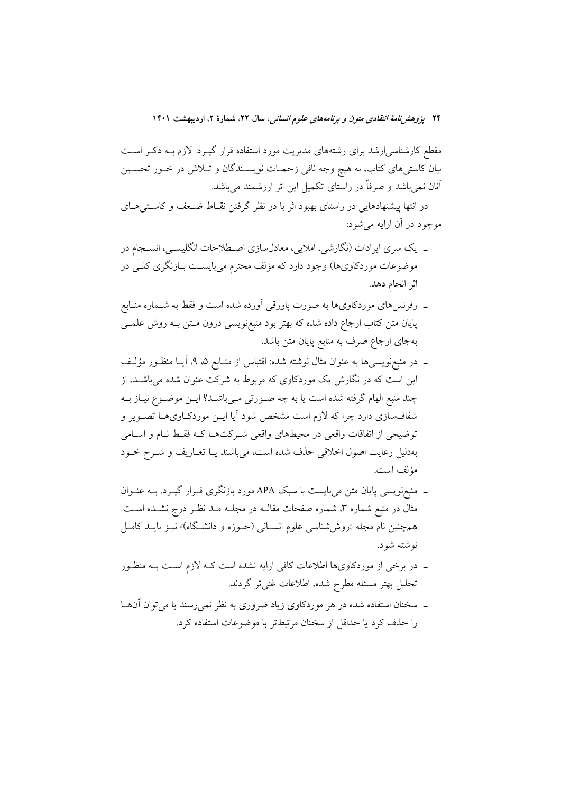مقطع کارشناسی|رشد برای رشتههای مدیریت مورد استفاده قرار گیـرد. لازم بــه ذکـر اســت بیان کاستی های کتاب، به هیچ وجه نافی زحمـات نویسـندگان و تـلاش در خـور تحسـین آنان نمیbباشد و صرفاً در راستای تکمیل این اثر ارزشمند میباشد.

در انتها پیشنهادهایی در راستای بهبود اثر با در نظر گرفتن نقـاط ضـعف و کاسـتیهـای موجود در آن ارايه مي شود:

- ۔ یک سری ایرادات (نگارشی، املایی، معادلسازی اصـطلاحات انگلیسـی، انسـجام در موضوعات موردکاویها) وجود دارد که مؤلف محترم می بایسـت بــازنگری کلــی در اثر انجام دهد.
- ــ رفرنسهای موردکاویها به صورت پاورقی آورده شده است و فقط به شــماره منــابع پایان متن کتاب ارجاع داده شده که بهتر بود منبعنویسی درون مـتن بـه روش علمــی بهجای ارجاع صرف به منابع پایان متن باشد.
- ـ در منبعزويسيها به عنوان مثال نوشته شده: اقتباس از منـابع ۵، ۹، آيــا منظـور مؤلـف این است که در نگارش یک موردکاوی که مربوط به شرکت عنوان شده می باشـد، از چند منبع الهام گرفته شده است یا به چه صـورتی مـیباشـد؟ ایــن موضــوع نیــاز بــه شفافسازی دارد چرا که لازم است مشخص شود اَیا ایــن موردکــاویهــا تصــویر و توضیحی از اتفاقات واقعی در محیطهای واقعی شــرکتهــا کــه فقــط نــام و اســامی بهدلیل رعایت اصول اخلاقی حذف شده است، میباشند یـا تعـاریف و شــرح خــود مؤلف است.
- ـ منبعزویسی پایان متن میبایست با سبک APA مورد بازنگری قـرار گیـرد. بــه عنــوان مثال در منبع شماره ۳، شماره صفحات مقالــه در مجلــه مــد نظــر درج نشــده اســت. همچنین نام مجله «روششناسی علوم انسـانی (حــوزه و دانشـگاه)» نیــز بایــد کامــل نوشته شود.
- ـ در برخی از موردکاویها اطلاعات کافی ارایه نشده است کـه لازم اسـت بـه منظـور تحلیل بهتر مسئله مطرح شده، اطلاعات غنیتر گردند.
- ــ سخنان استفاده شده در هر موردکاوی زیاد ضروری به نظر نمی رسند یا می توان آن ها را حذف کرد یا حداقل از سخنان مرتبطتر با موضوعات استفاده کرد.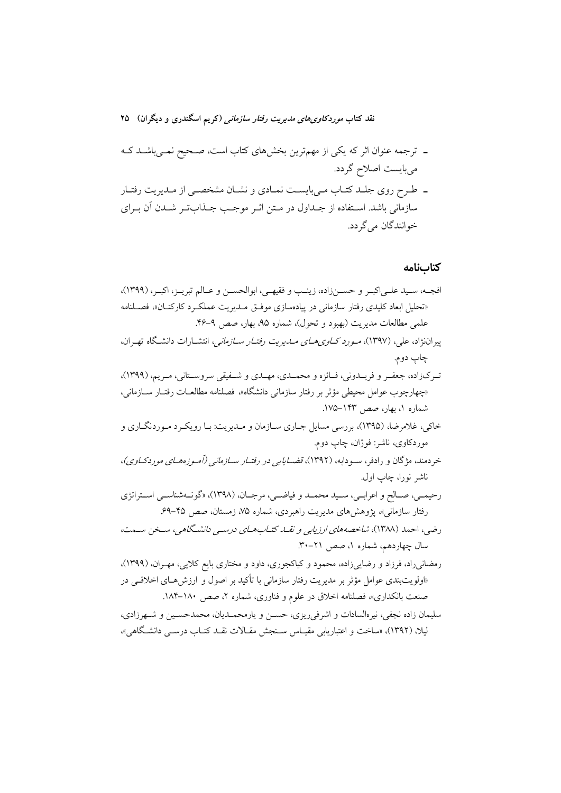### نقد کتاب *موردکاوی های مدیریت رفتار سازمانی (*کریم اسگندری و دیگران) ۲۵

- ۔ ترجمه عنوان اثر که یکی از مهمترین بخشهای کتاب است، صـحیح نمـیباشـد کـه می بایست اصلاح گردد.
- ـ طرح روي جلـد كتـاب مـىبايسـت نمـادي و نشـان مشخصـي از مـديريت رفتـار سازمانی باشد. استفاده از جـداول در مـتن اثـر موجـب جـذابتـر شـدن اَن بـرای خو انندگان مي گر دد.

#### كتابنامه

- افجـه، سـيد علـىاكبـر و حســنزاده، زينـب و فقيهـي، ابوالحسـن و عـالم تبريـز، اكبـر، (١٣٩٩)، «تحليل ابعاد كليدي رفتار سازماني در پيادەسازي موفـق مــديريت عملكـرد كاركنــان»، فصــلنامه علمي مطالعات مديريت (بهبود و تحول)، شماره ۹۵، بهار، صص ۹-۴۶. پیراننژاد، علی، (۱۳۹۷)، *مورد کـاوی هــای مــاـی*ری*ت رفتــار ســازمانی*، انتشــارات دانشــگاه تهـران، چاپ دوم. تـرکزاده، جعفـر و فريــدوني، فــائزه و محمــدي، مهــدي و شــفيقي سروســتاني، مـريم، (١٣٩٩)، «چهارچوب عوامل محیطی مؤثر بر رفتار سازمانی دانشگاه»، فصلنامه مطالعــات رفتــار ســازمانی، شماره ۱، بهار، صص ۱۴۳–۱۷۵. خاکی، غلامرضا، (۱۳۹۵)، بررسی مسایل جـاری سـازمان و مـدیریت: بـا رویکـرد مـوردنگـاری و موردکاوی، ناشر: فوژان، چاپ دوم. خردمند، مژگان و رادفر، سـودابه، (۱۳۹۲)، قض*ـایایی در رفتـار سـازمانی (آمـوزههـای موردکـاوی)*، ناشر نورا، چاپ اول. رحيمـي، صـالح و اعرابـي، سـيد محمـد و فياضـي، مرجـان، (١٣٩٨)، «گونـهشناسـي اسـتراتژي رفتار سازمانی»، پژوهشهای مدیریت راهبردی، شماره ۷۵، زمستان، صص ۴۵–۶۹. رضی، احمد (۱۳۸۸)، *شاخصه های ارزیابی و نقــان کتــاب هــای درســی دانشــگاهی ،* سـخن ســمت، سال چهاردهم، شماره ۱، صص ۲۱–۳۰. رمضاني راد، فرزاد و رضايي زاده، محمود و كياكجوري، داود و مختاري بايع كلايي، مهـران، (١٣٩٩)، «اولويتبندي عوامل مؤثِّر بر مديريت رفتار سازماني با تأكيد بر اصول و ارزشهــاي اخلاقــي در صنعت بانکداری»، فصلنامه اخلاق در علوم و فناوری، شماره ۲، صص ۱۸۰-۱۸۴.
- سليمان زاده نجفي، نيرهالسادات و اشرفي ريزي، حســن و يارمحمــديان، محمدحسـين و شــهرزادي، لیلا، (۱۳۹۲)، «ساخت و اعتباریابی مقیـاس سـنجش مقـالات نقـد کتـاب درسـبی دانشـگاهی»،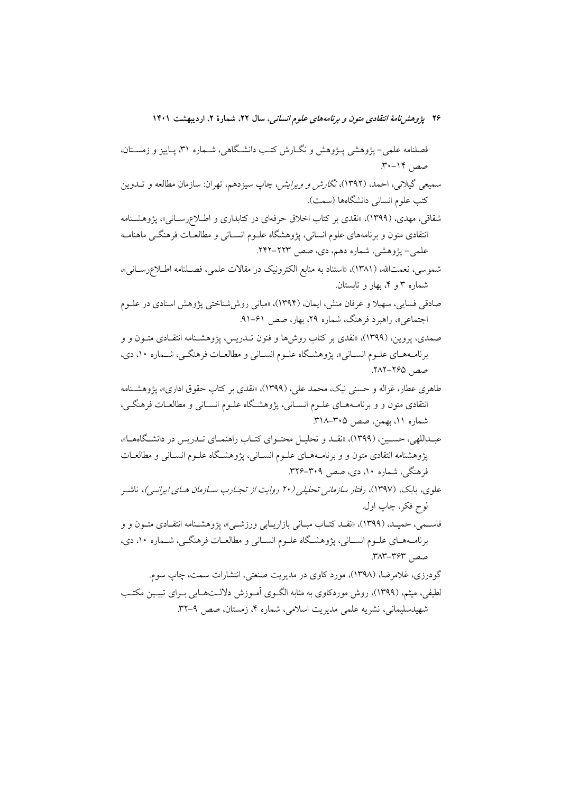فصلنامه علمي- يژوهشي پـژوهش و نگــارش كتـب دانشــگاهي، شــماره ۳۱، پــاييز و زمســتان، صص ١۴-٣٠.

- سمیعی گیلانی، احمد، (۱۳۹۲)، *نگارش و ویرایش،* چاپ سیزدهم، تهران: سازمان مطالعه و تــدوین كتب علوم انسانى دانشگاهها (سمت).
- شقاقی، مهدی، (۱۳۹۹)، «نقدی بر کتاب اخلاق حرفهای در کتابداری و اطـلاعرسـانی»، پژوهشـنامه انتقادی متون و برنامههای علوم انسانی، پژوهشگاه علـوم انســانی و مطالعــات فرهنگــی ماهنامــه علمي- پژوهشي، شماره دهم، دي، صص ٢٢٣-٢۴٢.
- شموسي، نعمتالله، (١٣٨١)، «استناد به منابع الكترونيك در مقالات علمي، فصـلنامه اطـلاعرسـاني»، شماره ۳ و ۴، بهار و تابستان.
- صادقی فسایی، سهیلا و عرفان منش، ایمان، (۱۳۹۴)، «مبانی روش شناختی پژوهش اسنادی در علـوم اجتماعی»، راهبرد فرهنگ، شماره ۲۹، بهار، صص ۶۱-۹۱.
- صمدی، یروین، (۱۳۹۹)، «نقدی بر کتاب روشها و فنون تــدریس، پژوهشــنامه انتقــادی متــون و و برنامههای علـوم انسـانی»، پژوهشـگاه علـوم انسـانی و مطالعـات فرهنگــی، شــماره ۱۰، دی، صص ۱۶۵–۲۸۲.
- طاهري عطار، غزاله و حسني نيک، محمد علي، (١٣٩٩)، «نقدي بر كتاب حقوق اداري»، يژوهشـنامه انتقادی متون و و برنامـههـای علـوم انسـانی، پژوهشـگاه علـوم انسـانی و مطالعـات فرهنگـی، شماره ۱۱، بهمن، صص ۳۰۵–۳۱۸.
- عبداللهي، حسـين، (١٣٩٩)، «نقـد و تحليـل محتـواي كتـاب راهنمـاي تــدريس در دانشـگاههـا»، پژوهشنامه انتقادی متون و و برنامـههـای علـوم انســانی، پژوهشـگاه علـوم انســانی و مطالعــات فرهنگی، شماره ۱۰، دی، صص ۳۰۹–۳۲۶.
- علوی، بابک، (۱۳۹۷)، رفتار سازم*انی تحلیلی (۲۰ روایت از تجبارب سیازمان هیای ایرانی*)، ناشیه لوح فكر، چاپ اول.
- قاسـمي، حميـد، (١٣٩٩)، «نقـد كتـاب مبـاني بازاريــابي ورزشــي»، يژوهشـنامه انتقــادي متــون و و برنامههای علـوم انسـانی، پژوهشـگاه علـوم انسـانی و مطالعـات فرهنگـی، شـماره ۱۰، دی، صص ۳۶۳–۳۸۳.
- گودرزی، غلامرضا، (۱۳۹۸)، مورد کاوی در مدیریت صنعتی، انتشارات سمت، چاپ سوم. لطیفی، میثم، (۱۳۹۹)، روش موردکاوی به مثابه الگـوی آمـوزش دلالــتحـایی بـرای تبیـین مکتـب شهیدسلیمانی، نشریه علمی مدیریت اسلامی، شماره ۴، زمستان، صص ۹-۳۲.